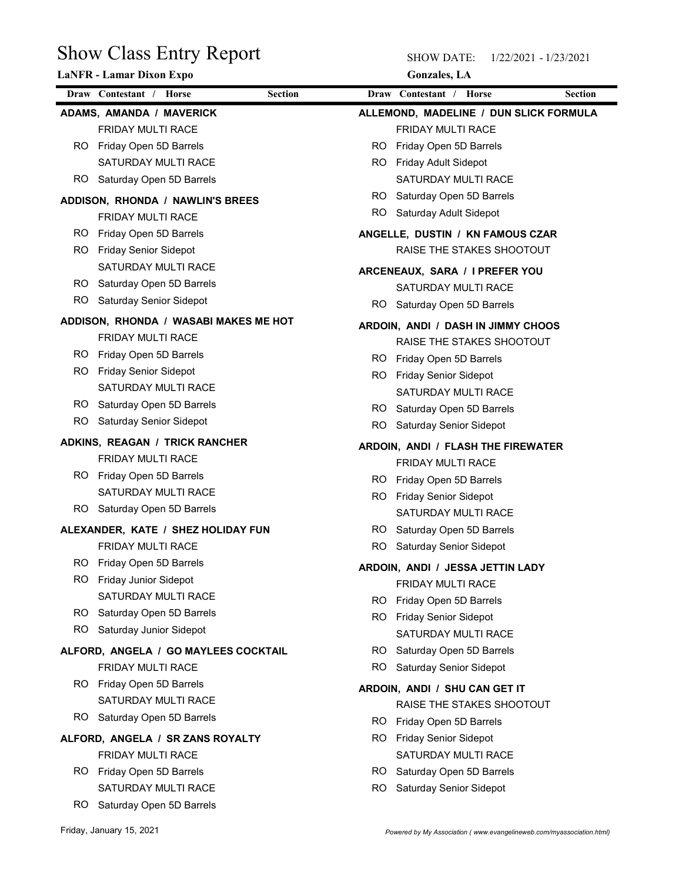| <b>Show Class Entry Report</b>                                |                | <b>SHOW DATE:</b><br>1/22/2021 - 1/23/2021                    |                |  |  |  |
|---------------------------------------------------------------|----------------|---------------------------------------------------------------|----------------|--|--|--|
| LaNFR - Lamar Dixon Expo                                      |                | <b>Gonzales</b> , LA                                          |                |  |  |  |
| Draw Contestant / Horse                                       | <b>Section</b> | Draw Contestant / Horse                                       | <b>Section</b> |  |  |  |
| ADAMS, AMANDA / MAVERICK                                      |                | ALLEMOND, MADELINE / DUN SLICK FORMULA                        |                |  |  |  |
| FRIDAY MULTI RACE<br>Friday Open 5D Barrels<br>RO.            | RO.            | FRIDAY MULTI RACE<br>Friday Open 5D Barrels                   |                |  |  |  |
| SATURDAY MULTI RACE                                           | RO.            | <b>Friday Adult Sidepot</b>                                   |                |  |  |  |
| Saturday Open 5D Barrels<br>RO.                               |                | SATURDAY MULTI RACE                                           |                |  |  |  |
|                                                               | RO.            | Saturday Open 5D Barrels                                      |                |  |  |  |
| ADDISON, RHONDA / NAWLIN'S BREES                              | RO.            | Saturday Adult Sidepot                                        |                |  |  |  |
| FRIDAY MULTI RACE<br>RO.                                      |                |                                                               |                |  |  |  |
| Friday Open 5D Barrels<br><b>Friday Senior Sidepot</b><br>RO. |                | ANGELLE, DUSTIN / KN FAMOUS CZAR<br>RAISE THE STAKES SHOOTOUT |                |  |  |  |
| SATURDAY MULTI RACE                                           |                |                                                               |                |  |  |  |
| Saturday Open 5D Barrels<br>RO.                               |                | ARCENEAUX, SARA / I PREFER YOU                                |                |  |  |  |
| <b>RO</b><br><b>Saturday Senior Sidepot</b>                   |                | SATURDAY MULTI RACE                                           |                |  |  |  |
|                                                               |                | RO Saturday Open 5D Barrels                                   |                |  |  |  |
| ADDISON, RHONDA / WASABI MAKES ME HOT                         |                | ARDOIN, ANDI / DASH IN JIMMY CHOOS                            |                |  |  |  |
| FRIDAY MULTI RACE                                             |                | RAISE THE STAKES SHOOTOUT                                     |                |  |  |  |
| Friday Open 5D Barrels<br>RO.                                 |                | RO Friday Open 5D Barrels                                     |                |  |  |  |
| RO.<br><b>Friday Senior Sidepot</b>                           |                | RO Friday Senior Sidepot                                      |                |  |  |  |
| SATURDAY MULTI RACE                                           |                | SATURDAY MULTI RACE                                           |                |  |  |  |
| RO Saturday Open 5D Barrels                                   |                | RO Saturday Open 5D Barrels                                   |                |  |  |  |
| RO.<br><b>Saturday Senior Sidepot</b>                         | RO.            | <b>Saturday Senior Sidepot</b>                                |                |  |  |  |
| ADKINS, REAGAN / TRICK RANCHER                                |                | ARDOIN, ANDI / FLASH THE FIREWATER                            |                |  |  |  |
| FRIDAY MULTI RACE                                             |                | FRIDAY MULTI RACE                                             |                |  |  |  |
| Friday Open 5D Barrels<br>RO.                                 | RO.            | Friday Open 5D Barrels                                        |                |  |  |  |
| SATURDAY MULTI RACE                                           |                | RO Friday Senior Sidepot                                      |                |  |  |  |
| RO Saturday Open 5D Barrels                                   |                | SATURDAY MULTI RACE                                           |                |  |  |  |
| ALEXANDER, KATE / SHEZ HOLIDAY FUN                            |                | RO Saturday Open 5D Barrels                                   |                |  |  |  |
| FRIDAY MULTI RACE                                             | RO.            | Saturday Senior Sidepot                                       |                |  |  |  |
| RO.<br>Friday Open 5D Barrels                                 |                | ARDOIN, ANDI / JESSA JETTIN LADY                              |                |  |  |  |
| RO.<br>Friday Junior Sidepot                                  |                | FRIDAY MULTI RACE                                             |                |  |  |  |
| SATURDAY MULTI RACE                                           | RO.            | Friday Open 5D Barrels                                        |                |  |  |  |
| RO Saturday Open 5D Barrels                                   |                | RO Friday Senior Sidepot                                      |                |  |  |  |
| RO.<br>Saturday Junior Sidepot                                |                | SATURDAY MULTI RACE                                           |                |  |  |  |
| ALFORD, ANGELA / GO MAYLEES COCKTAIL                          |                | RO Saturday Open 5D Barrels                                   |                |  |  |  |
| FRIDAY MULTI RACE                                             | RO             | <b>Saturday Senior Sidepot</b>                                |                |  |  |  |
| Friday Open 5D Barrels<br><b>RO</b>                           |                | ARDOIN, ANDI / SHU CAN GET IT                                 |                |  |  |  |
| SATURDAY MULTI RACE                                           |                | RAISE THE STAKES SHOOTOUT                                     |                |  |  |  |
| RO Saturday Open 5D Barrels                                   |                | RO Friday Open 5D Barrels                                     |                |  |  |  |
| ALFORD, ANGELA / SR ZANS ROYALTY                              |                | RO Friday Senior Sidepot                                      |                |  |  |  |
| FRIDAY MULTI RACE                                             |                | SATURDAY MULTI RACE                                           |                |  |  |  |
| RO Friday Open 5D Barrels                                     | RO.            | Saturday Open 5D Barrels                                      |                |  |  |  |
| SATURDAY MULTI RACE                                           | RO.            | Saturday Senior Sidepot                                       |                |  |  |  |
| RO Saturday Open 5D Barrels                                   |                |                                                               |                |  |  |  |
|                                                               |                |                                                               |                |  |  |  |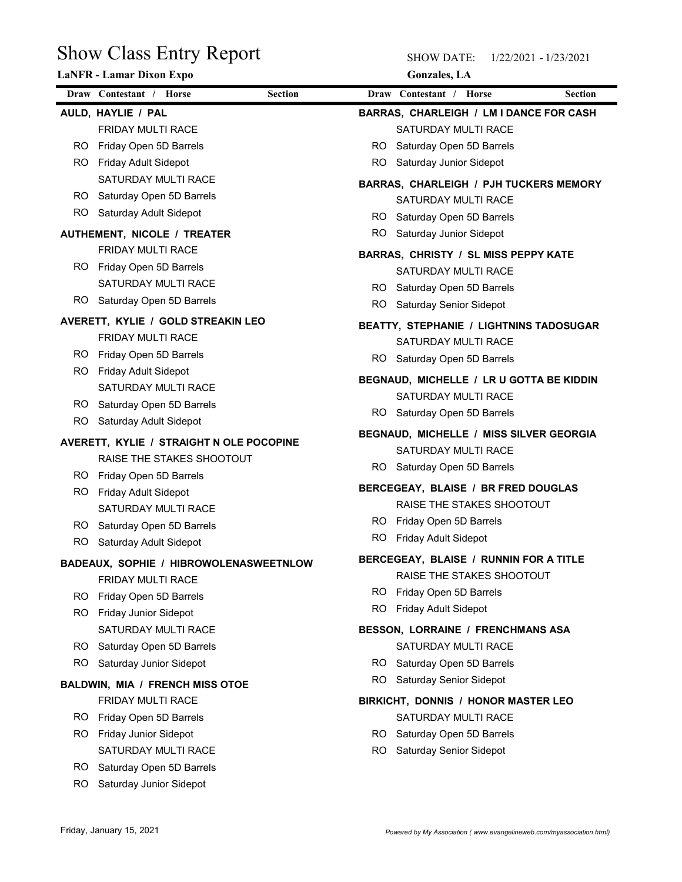|            | <b>Show Class Entry Report</b><br>LaNFR - Lamar Dixon Expo | <b>Gonzales</b> , LA                          |
|------------|------------------------------------------------------------|-----------------------------------------------|
|            | Draw Contestant / Horse<br><b>Section</b>                  | Draw Contestant / Horse<br><b>Section</b>     |
|            | AULD, HAYLIE / PAL                                         | BARRAS, CHARLEIGH / LM I DANCE FOR CASH       |
|            | FRIDAY MULTI RACE                                          | SATURDAY MULTI RACE                           |
| RO.        | Friday Open 5D Barrels                                     | Saturday Open 5D Barrels<br>RO.               |
| RO.        | Friday Adult Sidepot                                       | Saturday Junior Sidepot<br>RO.                |
|            | SATURDAY MULTI RACE                                        | <b>BARRAS, CHARLEIGH / PJH TUCKERS MEMORY</b> |
| RO.<br>RO. | Saturday Open 5D Barrels<br>Saturday Adult Sidepot         | SATURDAY MULTI RACE                           |
|            |                                                            | RO Saturday Open 5D Barrels                   |
|            | AUTHEMENT, NICOLE / TREATER                                | RO<br>Saturday Junior Sidepot                 |
| RO.        | FRIDAY MULTI RACE<br>Friday Open 5D Barrels                | BARRAS, CHRISTY / SL MISS PEPPY KATE          |
|            | SATURDAY MULTI RACE                                        | SATURDAY MULTI RACE                           |
|            | RO Saturday Open 5D Barrels                                | RO Saturday Open 5D Barrels                   |
|            |                                                            | RO Saturday Senior Sidepot                    |
|            | AVERETT, KYLIE / GOLD STREAKIN LEO<br>FRIDAY MULTI RACE    | BEATTY, STEPHANIE / LIGHTNINS TADOSUGAR       |
| RO.        | Friday Open 5D Barrels                                     | SATURDAY MULTI RACE                           |
|            | RO Friday Adult Sidepot                                    | RO Saturday Open 5D Barrels                   |
|            | SATURDAY MULTI RACE                                        | BEGNAUD, MICHELLE / LR U GOTTA BE KIDDIN      |
|            | RO Saturday Open 5D Barrels                                | SATURDAY MULTI RACE                           |
| RO.        | Saturday Adult Sidepot                                     | RO Saturday Open 5D Barrels                   |
|            | AVERETT, KYLIE / STRAIGHT N OLE POCOPINE                   | BEGNAUD, MICHELLE / MISS SILVER GEORGIA       |
|            | RAISE THE STAKES SHOOTOUT                                  | SATURDAY MULTI RACE                           |
|            | RO Friday Open 5D Barrels                                  | RO Saturday Open 5D Barrels                   |
|            | RO Friday Adult Sidepot                                    | BERCEGEAY, BLAISE / BR FRED DOUGLAS           |
|            | SATURDAY MULTI RACE                                        | RAISE THE STAKES SHOOTOUT                     |
|            | RO Saturday Open 5D Barrels                                | RO Friday Open 5D Barrels                     |
| RO.        | Saturday Adult Sidepot                                     | RO Friday Adult Sidepot                       |
|            | BADEAUX, SOPHIE / HIBROWOLENASWEETNLOW                     | BERCEGEAY, BLAISE / RUNNIN FOR A TITLE        |
|            | FRIDAY MULTI RACE                                          | RAISE THE STAKES SHOOTOUT                     |
|            | RO Friday Open 5D Barrels                                  | RO Friday Open 5D Barrels                     |
|            | RO Friday Junior Sidepot                                   | RO Friday Adult Sidepot                       |
|            | SATURDAY MULTI RACE                                        | BESSON, LORRAINE / FRENCHMANS ASA             |
| RO.        | Saturday Open 5D Barrels                                   | SATURDAY MULTI RACE                           |
| RO.        | Saturday Junior Sidepot                                    | RO Saturday Open 5D Barrels                   |
|            | <b>BALDWIN, MIA / FRENCH MISS OTOE</b>                     | RO.<br>Saturday Senior Sidepot                |
|            | FRIDAY MULTI RACE                                          | BIRKICHT, DONNIS / HONOR MASTER LEO           |
| RO.        | Friday Open 5D Barrels                                     | SATURDAY MULTI RACE                           |
|            | RO Friday Junior Sidepot                                   | RO Saturday Open 5D Barrels                   |
|            | SATURDAY MULTI RACE                                        | RO Saturday Senior Sidepot                    |
| RO.        | Saturday Open 5D Barrels                                   |                                               |
| RO.        | Saturday Junior Sidepot                                    |                                               |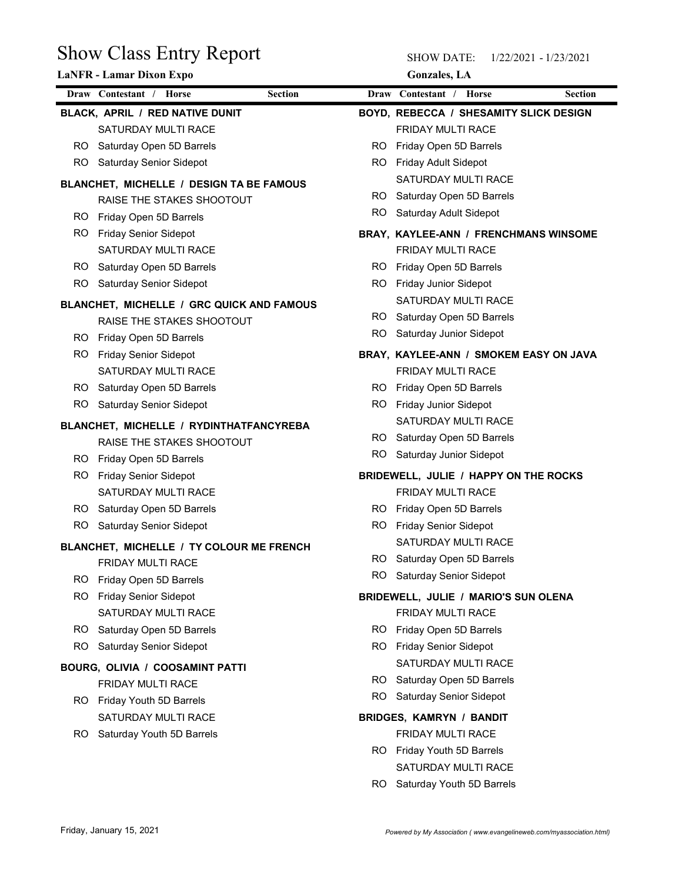|     | <b>Show Class Entry Report</b>                            |                | <b>SHOW DATE:</b><br>1/22/2021 - 1/23/2021                  |                |  |  |
|-----|-----------------------------------------------------------|----------------|-------------------------------------------------------------|----------------|--|--|
|     | LaNFR - Lamar Dixon Expo                                  |                | <b>Gonzales</b> , LA                                        |                |  |  |
|     | Draw Contestant / Horse                                   | <b>Section</b> | Draw Contestant / Horse                                     | <b>Section</b> |  |  |
|     | BLACK, APRIL / RED NATIVE DUNIT                           |                | BOYD, REBECCA / SHESAMITY SLICK DESIGN                      |                |  |  |
|     | SATURDAY MULTI RACE                                       |                | FRIDAY MULTI RACE                                           |                |  |  |
| RO. | Saturday Open 5D Barrels                                  | RO.            | Friday Open 5D Barrels                                      |                |  |  |
| RO. | Saturday Senior Sidepot                                   | RO.            | Friday Adult Sidepot                                        |                |  |  |
|     | BLANCHET, MICHELLE / DESIGN TA BE FAMOUS                  |                | SATURDAY MULTI RACE                                         |                |  |  |
|     | RAISE THE STAKES SHOOTOUT                                 | RO.<br>RO.     | Saturday Open 5D Barrels<br>Saturday Adult Sidepot          |                |  |  |
| RO. | Friday Open 5D Barrels                                    |                |                                                             |                |  |  |
| RO. | <b>Friday Senior Sidepot</b>                              |                | BRAY, KAYLEE-ANN / FRENCHMANS WINSOME                       |                |  |  |
|     | SATURDAY MULTI RACE                                       |                | FRIDAY MULTI RACE                                           |                |  |  |
| RO. | Saturday Open 5D Barrels<br>Saturday Senior Sidepot       | RO.<br>RO.     | Friday Open 5D Barrels                                      |                |  |  |
| RO. |                                                           |                | Friday Junior Sidepot<br>SATURDAY MULTI RACE                |                |  |  |
|     | BLANCHET, MICHELLE / GRC QUICK AND FAMOUS                 |                | RO Saturday Open 5D Barrels                                 |                |  |  |
|     | RAISE THE STAKES SHOOTOUT                                 | RO.            | Saturday Junior Sidepot                                     |                |  |  |
| RO. | Friday Open 5D Barrels                                    |                |                                                             |                |  |  |
| RO. | <b>Friday Senior Sidepot</b><br>SATURDAY MULTI RACE       |                | BRAY, KAYLEE-ANN / SMOKEM EASY ON JAVA<br>FRIDAY MULTI RACE |                |  |  |
| RO. | Saturday Open 5D Barrels                                  |                | RO Friday Open 5D Barrels                                   |                |  |  |
| RO. | Saturday Senior Sidepot                                   |                | RO Friday Junior Sidepot                                    |                |  |  |
|     |                                                           |                | SATURDAY MULTI RACE                                         |                |  |  |
|     | BLANCHET, MICHELLE / RYDINTHATFANCYREBA                   |                | RO Saturday Open 5D Barrels                                 |                |  |  |
|     | RAISE THE STAKES SHOOTOUT                                 | RO.            | Saturday Junior Sidepot                                     |                |  |  |
| RO. | RO Friday Open 5D Barrels<br><b>Friday Senior Sidepot</b> |                | BRIDEWELL, JULIE / HAPPY ON THE ROCKS                       |                |  |  |
|     | SATURDAY MULTI RACE                                       |                | FRIDAY MULTI RACE                                           |                |  |  |
| RO. | Saturday Open 5D Barrels                                  |                | RO Friday Open 5D Barrels                                   |                |  |  |
| RO. | Saturday Senior Sidepot                                   |                | RO Friday Senior Sidepot                                    |                |  |  |
|     | BLANCHET, MICHELLE / TY COLOUR ME FRENCH                  |                | SATURDAY MULTI RACE                                         |                |  |  |
|     | FRIDAY MULTI RACE                                         |                | RO Saturday Open 5D Barrels                                 |                |  |  |
|     | RO Friday Open 5D Barrels                                 | RO.            | Saturday Senior Sidepot                                     |                |  |  |
| RO. | <b>Friday Senior Sidepot</b>                              |                | BRIDEWELL, JULIE / MARIO'S SUN OLENA                        |                |  |  |
|     | SATURDAY MULTI RACE                                       |                | FRIDAY MULTI RACE                                           |                |  |  |
| RO. | Saturday Open 5D Barrels                                  |                | RO Friday Open 5D Barrels                                   |                |  |  |
| RO. | Saturday Senior Sidepot                                   |                | RO Friday Senior Sidepot                                    |                |  |  |
|     | BOURG, OLIVIA / COOSAMINT PATTI                           |                | SATURDAY MULTI RACE                                         |                |  |  |
|     | FRIDAY MULTI RACE                                         | RO.            | Saturday Open 5D Barrels                                    |                |  |  |
|     | RO Friday Youth 5D Barrels                                | RO.            | Saturday Senior Sidepot                                     |                |  |  |
|     | SATURDAY MULTI RACE                                       |                | <b>BRIDGES, KAMRYN / BANDIT</b>                             |                |  |  |
| RO. | Saturday Youth 5D Barrels                                 |                | FRIDAY MULTI RACE                                           |                |  |  |
|     |                                                           |                | RO Friday Youth 5D Barrels                                  |                |  |  |
|     |                                                           |                | SATURDAY MULTI RACE                                         |                |  |  |
|     |                                                           |                | $\mathbf{r}$ $\mathbf{v}$<br>$\mathbf{u}$ $\mathbf{r}$      |                |  |  |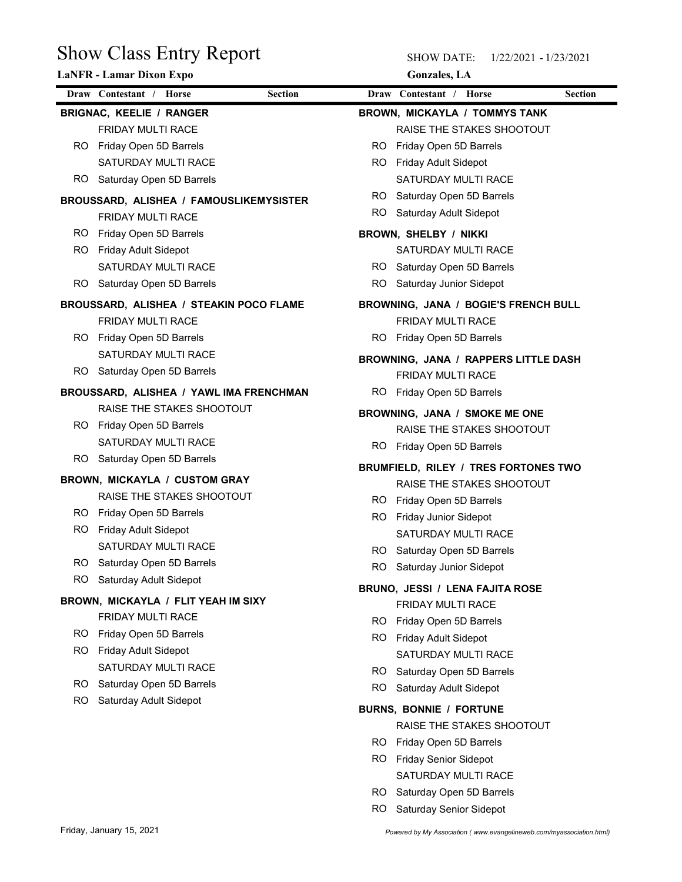| <b>Show Class Entry Report</b><br><b>LaNFR - Lamar Dixon Expo</b> |                |           | <b>SHOW DATE:</b><br><b>Gonzales</b> , LA          | 1/22/2021 - 1/23/2021 |
|-------------------------------------------------------------------|----------------|-----------|----------------------------------------------------|-----------------------|
| Draw Contestant / Horse                                           | <b>Section</b> |           | Draw Contestant / Horse                            | <b>Section</b>        |
| <b>BRIGNAC, KEELIE / RANGER</b>                                   |                |           | <b>BROWN, MICKAYLA / TOMMYS TANK</b>               |                       |
| FRIDAY MULTI RACE                                                 |                |           | RAISE THE STAKES SHOOTOUT                          |                       |
| Friday Open 5D Barrels<br>RO                                      |                | RO.       | Friday Open 5D Barrels                             |                       |
| SATURDAY MULTI RACE                                               |                | RO.       | Friday Adult Sidepot                               |                       |
| Saturday Open 5D Barrels<br>RO                                    |                |           | SATURDAY MULTI RACE                                |                       |
| BROUSSARD, ALISHEA / FAMOUSLIKEMYSISTER                           |                | RO.       | Saturday Open 5D Barrels                           |                       |
| FRIDAY MULTI RACE                                                 |                | <b>RO</b> | Saturday Adult Sidepot                             |                       |
| Friday Open 5D Barrels<br>RO                                      |                |           | BROWN, SHELBY / NIKKI                              |                       |
| Friday Adult Sidepot<br>RO                                        |                |           | SATURDAY MULTI RACE                                |                       |
| SATURDAY MULTI RACE                                               |                | RO.       | Saturday Open 5D Barrels                           |                       |
| Saturday Open 5D Barrels<br>RO.                                   |                | RO.       | Saturday Junior Sidepot                            |                       |
| BROUSSARD, ALISHEA / STEAKIN POCO FLAME                           |                |           | BROWNING, JANA / BOGIE'S FRENCH BULL               |                       |
| FRIDAY MULTI RACE                                                 |                |           | FRIDAY MULTI RACE                                  |                       |
| RO Friday Open 5D Barrels                                         |                |           | RO Friday Open 5D Barrels                          |                       |
| SATURDAY MULTI RACE                                               |                |           | BROWNING, JANA / RAPPERS LITTLE DASH               |                       |
| Saturday Open 5D Barrels<br>RO.                                   |                |           | FRIDAY MULTI RACE                                  |                       |
| BROUSSARD, ALISHEA / YAWL IMA FRENCHMAN                           |                |           | RO Friday Open 5D Barrels                          |                       |
| RAISE THE STAKES SHOOTOUT                                         |                |           | BROWNING, JANA / SMOKE ME ONE                      |                       |
| RO Friday Open 5D Barrels                                         |                |           | RAISE THE STAKES SHOOTOUT                          |                       |
| SATURDAY MULTI RACE                                               |                |           | RO Friday Open 5D Barrels                          |                       |
| Saturday Open 5D Barrels<br>RO.                                   |                |           |                                                    |                       |
| BROWN, MICKAYLA / CUSTOM GRAY                                     |                |           | BRUMFIELD, RILEY / TRES FORTONES TWO               |                       |
| RAISE THE STAKES SHOOTOUT                                         |                |           | RAISE THE STAKES SHOOTOUT                          |                       |
| Friday Open 5D Barrels<br>RO.                                     |                | RO.       | RO Friday Open 5D Barrels<br>Friday Junior Sidepot |                       |
| Friday Adult Sidepot<br>RO.                                       |                |           | SATURDAY MULTI RACE                                |                       |
| SATURDAY MULTI RACE                                               |                | RO.       | Saturday Open 5D Barrels                           |                       |
| Saturday Open 5D Barrels<br>RO.                                   |                | RO.       | Saturday Junior Sidepot                            |                       |
| RO.<br>Saturday Adult Sidepot                                     |                |           |                                                    |                       |
| BROWN, MICKAYLA / FLIT YEAH IM SIXY                               |                |           | BRUNO, JESSI / LENA FAJITA ROSE                    |                       |
| FRIDAY MULTI RACE                                                 |                |           | FRIDAY MULTI RACE                                  |                       |
| Friday Open 5D Barrels<br>RO.                                     |                | RO.       | RO Friday Open 5D Barrels                          |                       |
| RO.<br><b>Friday Adult Sidepot</b>                                |                |           | Friday Adult Sidepot<br>SATURDAY MULTI RACE        |                       |
| SATURDAY MULTI RACE                                               |                | RO.       | Saturday Open 5D Barrels                           |                       |
| Saturday Open 5D Barrels<br>RO.                                   |                | RO.       | Saturday Adult Sidepot                             |                       |
| Saturday Adult Sidepot<br>RO.                                     |                |           |                                                    |                       |
|                                                                   |                |           | <b>BURNS, BONNIE / FORTUNE</b>                     |                       |
|                                                                   |                |           | RAISE THE STAKES SHOOTOUT                          |                       |
|                                                                   |                |           | RO Friday Open 5D Barrels                          |                       |
|                                                                   |                | RO.       | Friday Senior Sidepot                              |                       |
|                                                                   |                |           | SATURDAY MULTI RACE                                |                       |

- RO Saturday Open 5D Barrels
- RO Saturday Senior Sidepot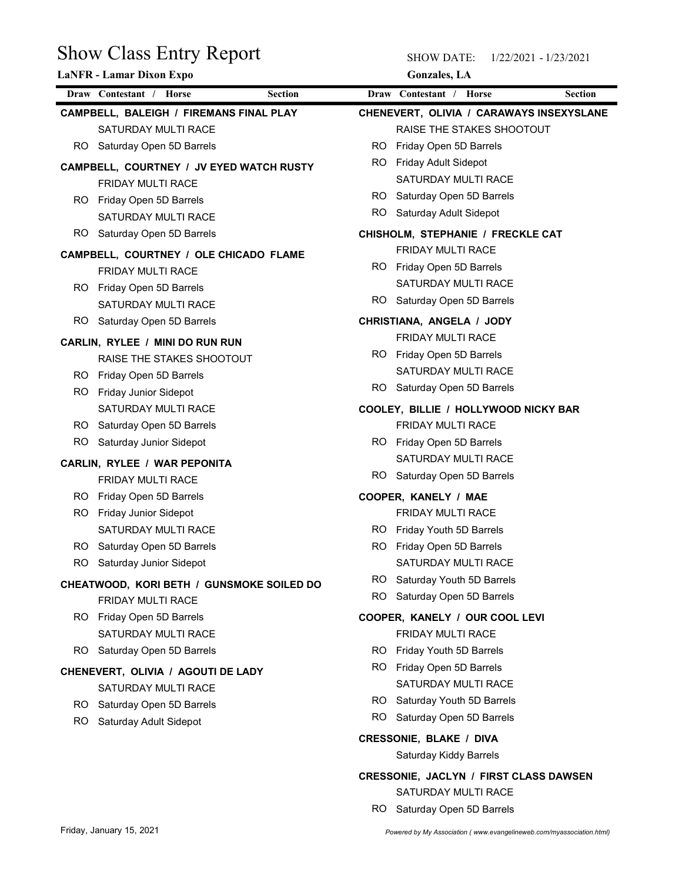| <b>Show Class Entry Report</b><br><b>LaNFR</b> - Lamar Dixon Expo |     | <b>SHOW DATE:</b><br>1/22/2021 - 1/23/2021<br><b>Gonzales</b> , LA   |
|-------------------------------------------------------------------|-----|----------------------------------------------------------------------|
| Draw Contestant / Horse<br>Section                                |     | Draw Contestant / Horse<br>Section                                   |
| CAMPBELL, BALEIGH / FIREMANS FINAL PLAY                           |     | CHENEVERT, OLIVIA / CARAWAYS INSEXYSLANE                             |
| SATURDAY MULTI RACE                                               |     | RAISE THE STAKES SHOOTOUT                                            |
| Saturday Open 5D Barrels<br>RO.                                   | RO. | Friday Open 5D Barrels                                               |
| CAMPBELL, COURTNEY / JV EYED WATCH RUSTY                          | RO. | Friday Adult Sidepot                                                 |
| FRIDAY MULTI RACE                                                 |     | SATURDAY MULTI RACE                                                  |
| Friday Open 5D Barrels<br>RO.                                     | RO. | Saturday Open 5D Barrels                                             |
| SATURDAY MULTI RACE                                               | RO  | Saturday Adult Sidepot                                               |
| Saturday Open 5D Barrels<br>RO.                                   |     | CHISHOLM, STEPHANIE / FRECKLE CAT                                    |
| CAMPBELL, COURTNEY / OLE CHICADO FLAME                            |     | FRIDAY MULTI RACE                                                    |
| FRIDAY MULTI RACE                                                 |     | RO Friday Open 5D Barrels                                            |
| Friday Open 5D Barrels<br>RO.                                     |     | SATURDAY MULTI RACE                                                  |
| SATURDAY MULTI RACE                                               | RO. | Saturday Open 5D Barrels                                             |
| RO.<br>Saturday Open 5D Barrels                                   |     | CHRISTIANA, ANGELA / JODY                                            |
| CARLIN, RYLEE / MINI DO RUN RUN                                   |     | FRIDAY MULTI RACE                                                    |
| RAISE THE STAKES SHOOTOUT                                         |     | RO Friday Open 5D Barrels                                            |
| Friday Open 5D Barrels<br>RO.                                     |     | SATURDAY MULTI RACE                                                  |
| RO.<br>Friday Junior Sidepot                                      | RO. | Saturday Open 5D Barrels                                             |
| SATURDAY MULTI RACE                                               |     | COOLEY, BILLIE / HOLLYWOOD NICKY BAR                                 |
| Saturday Open 5D Barrels<br>RO.                                   |     | FRIDAY MULTI RACE                                                    |
| RO<br>Saturday Junior Sidepot                                     |     | RO Friday Open 5D Barrels                                            |
| CARLIN, RYLEE / WAR PEPONITA                                      |     | SATURDAY MULTI RACE                                                  |
| FRIDAY MULTI RACE                                                 |     | RO Saturday Open 5D Barrels                                          |
| Friday Open 5D Barrels<br>RO.                                     |     | COOPER, KANELY / MAE                                                 |
| Friday Junior Sidepot<br>RO.                                      |     | FRIDAY MULTI RACE                                                    |
| SATURDAY MULTI RACE                                               |     | RO Friday Youth 5D Barrels                                           |
| Saturday Open 5D Barrels<br>RO.                                   |     | RO Friday Open 5D Barrels                                            |
| RO.<br>Saturday Junior Sidepot                                    |     | SATURDAY MULTI RACE<br>RO Saturday Youth 5D Barrels                  |
| CHEATWOOD, KORI BETH / GUNSMOKE SOILED DO                         | RO. | Saturday Open 5D Barrels                                             |
| FRIDAY MULTI RACE                                                 |     |                                                                      |
| RO Friday Open 5D Barrels                                         |     | COOPER, KANELY / OUR COOL LEVI                                       |
| SATURDAY MULTI RACE<br>Saturday Open 5D Barrels<br>RO.            |     | FRIDAY MULTI RACE<br>RO Friday Youth 5D Barrels                      |
|                                                                   |     | RO Friday Open 5D Barrels                                            |
| CHENEVERT, OLIVIA / AGOUTI DE LADY                                |     | SATURDAY MULTI RACE                                                  |
| <b>SATURDAY MULTI RACE</b>                                        |     | RO Saturday Youth 5D Barrels                                         |
| Saturday Open 5D Barrels<br>RO.                                   | RO. | Saturday Open 5D Barrels                                             |
| RO.<br>Saturday Adult Sidepot                                     |     | <b>CRESSONIE, BLAKE / DIVA</b>                                       |
|                                                                   |     | Saturday Kiddy Barrels                                               |
|                                                                   |     |                                                                      |
|                                                                   |     | <b>CRESSONIE, JACLYN / FIRST CLASS DAWSEN</b><br>SATURDAY MULTI RACE |
|                                                                   |     |                                                                      |

RO Saturday Open 5D Barrels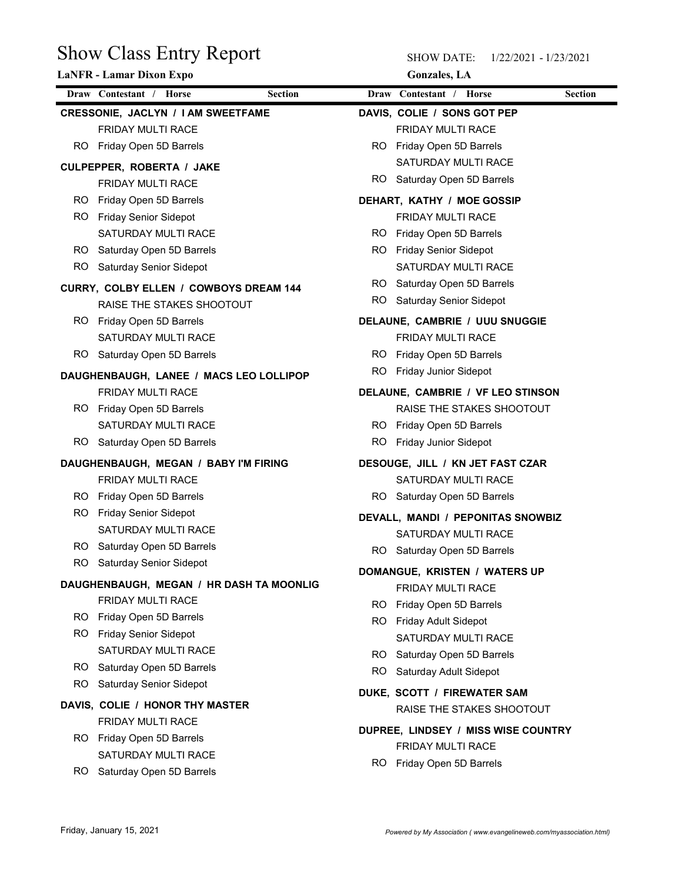|     | <b>Show Class Entry Report</b><br><b>LaNFR</b> - Lamar Dixon Expo |           | <b>SHOW DATE:</b><br><b>Gonzales</b> , LA | 1/22/2021 - 1/23/2021 |                |
|-----|-------------------------------------------------------------------|-----------|-------------------------------------------|-----------------------|----------------|
|     | Draw Contestant / Horse<br><b>Section</b>                         |           | Draw Contestant / Horse                   |                       | <b>Section</b> |
|     | CRESSONIE, JACLYN / I AM SWEETFAME                                |           | DAVIS, COLIE / SONS GOT PEP               |                       |                |
|     | FRIDAY MULTI RACE                                                 |           | FRIDAY MULTI RACE                         |                       |                |
|     | RO Friday Open 5D Barrels                                         |           | RO Friday Open 5D Barrels                 |                       |                |
|     | CULPEPPER, ROBERTA / JAKE                                         |           | SATURDAY MULTI RACE                       |                       |                |
|     | FRIDAY MULTI RACE                                                 | RO.       | Saturday Open 5D Barrels                  |                       |                |
| RO. | Friday Open 5D Barrels                                            |           | DEHART, KATHY / MOE GOSSIP                |                       |                |
| RO. | <b>Friday Senior Sidepot</b>                                      |           | FRIDAY MULTI RACE                         |                       |                |
|     | SATURDAY MULTI RACE                                               | RO.       | Friday Open 5D Barrels                    |                       |                |
| RO. | Saturday Open 5D Barrels                                          | RO.       | <b>Friday Senior Sidepot</b>              |                       |                |
| RO. | Saturday Senior Sidepot                                           |           | SATURDAY MULTI RACE                       |                       |                |
|     | CURRY, COLBY ELLEN / COWBOYS DREAM 144                            | RO.       | Saturday Open 5D Barrels                  |                       |                |
|     | RAISE THE STAKES SHOOTOUT                                         | <b>RO</b> | Saturday Senior Sidepot                   |                       |                |
|     | RO Friday Open 5D Barrels                                         |           | DELAUNE, CAMBRIE / UUU SNUGGIE            |                       |                |
|     | SATURDAY MULTI RACE                                               |           | FRIDAY MULTI RACE                         |                       |                |
|     | RO Saturday Open 5D Barrels                                       |           | RO Friday Open 5D Barrels                 |                       |                |
|     | DAUGHENBAUGH, LANEE / MACS LEO LOLLIPOP                           | RO.       | Friday Junior Sidepot                     |                       |                |
|     | FRIDAY MULTI RACE                                                 |           | DELAUNE, CAMBRIE / VF LEO STINSON         |                       |                |
|     | RO Friday Open 5D Barrels                                         |           | RAISE THE STAKES SHOOTOUT                 |                       |                |
|     | SATURDAY MULTI RACE                                               |           | RO Friday Open 5D Barrels                 |                       |                |
|     | RO Saturday Open 5D Barrels                                       | RO.       | Friday Junior Sidepot                     |                       |                |
|     | DAUGHENBAUGH, MEGAN / BABY I'M FIRING                             |           | DESOUGE, JILL / KN JET FAST CZAR          |                       |                |
|     | FRIDAY MULTI RACE                                                 |           | SATURDAY MULTI RACE                       |                       |                |
|     | RO Friday Open 5D Barrels                                         |           | RO Saturday Open 5D Barrels               |                       |                |
|     | RO Friday Senior Sidepot                                          |           | DEVALL, MANDI / PEPONITAS SNOWBIZ         |                       |                |
|     | SATURDAY MULTI RACE                                               |           | SATURDAY MULTI RACE                       |                       |                |
| RO. | Saturday Open 5D Barrels                                          |           | RO Saturday Open 5D Barrels               |                       |                |
| RO. | Saturday Senior Sidepot                                           |           | DOMANGUE, KRISTEN / WATERS UP             |                       |                |
|     | DAUGHENBAUGH, MEGAN / HR DASH TA MOONLIG                          |           | FRIDAY MULTI RACE                         |                       |                |
|     | FRIDAY MULTI RACE                                                 |           | RO Friday Open 5D Barrels                 |                       |                |
|     | RO Friday Open 5D Barrels                                         |           | RO Friday Adult Sidepot                   |                       |                |
|     | RO Friday Senior Sidepot                                          |           | SATURDAY MULTI RACE                       |                       |                |
| RO. | SATURDAY MULTI RACE                                               | RO.       | Saturday Open 5D Barrels                  |                       |                |
| RO. | Saturday Open 5D Barrels<br>Saturday Senior Sidepot               | RO.       | Saturday Adult Sidepot                    |                       |                |
|     |                                                                   |           | DUKE, SCOTT / FIREWATER SAM               |                       |                |
|     | DAVIS, COLIE / HONOR THY MASTER                                   |           | RAISE THE STAKES SHOOTOUT                 |                       |                |
|     | FRIDAY MULTI RACE                                                 |           | DUPREE, LINDSEY / MISS WISE COUNTRY       |                       |                |
|     | RO Friday Open 5D Barrels<br>SATURDAY MULTI RACE                  |           | FRIDAY MULTI RACE                         |                       |                |
|     |                                                                   |           | RO Friday Open 5D Barrels                 |                       |                |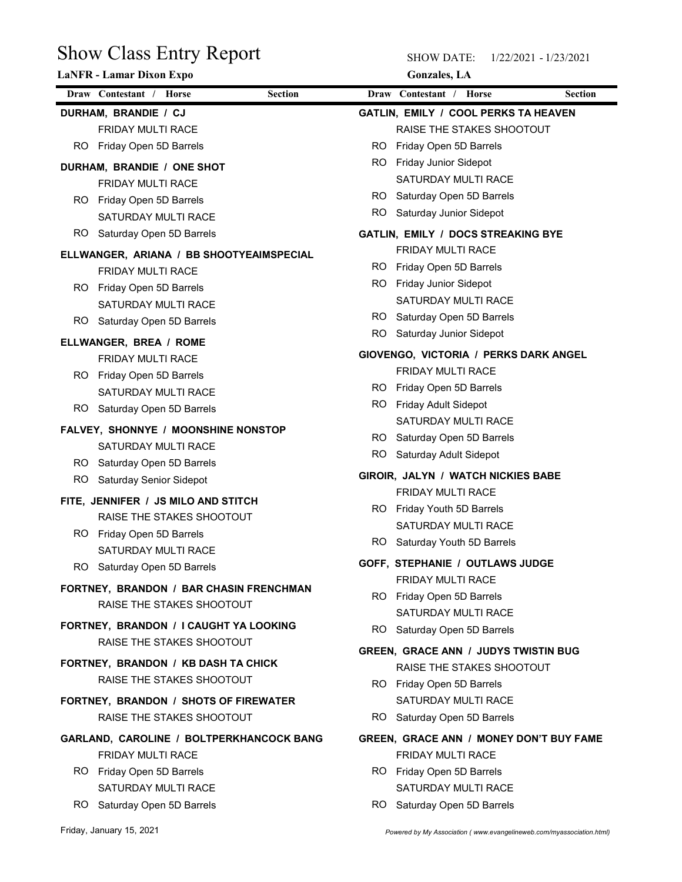| <b>Show Class Entry Report</b>                                      |                         | <b>SHOW DATE:</b><br>1/22/2021 - 1/23/2021  |                |
|---------------------------------------------------------------------|-------------------------|---------------------------------------------|----------------|
| LaNFR - Lamar Dixon Expo                                            |                         | <b>Gonzales</b> , LA                        |                |
| Draw Contestant / Horse<br><b>Section</b>                           | Draw Contestant / Horse |                                             | <b>Section</b> |
| DURHAM, BRANDIE / CJ                                                |                         | GATLIN, EMILY / COOL PERKS TA HEAVEN        |                |
| FRIDAY MULTI RACE                                                   |                         | RAISE THE STAKES SHOOTOUT                   |                |
| RO Friday Open 5D Barrels                                           | RO.                     | Friday Open 5D Barrels                      |                |
|                                                                     | RO.                     | Friday Junior Sidepot                       |                |
| DURHAM, BRANDIE / ONE SHOT<br>FRIDAY MULTI RACE                     |                         | SATURDAY MULTI RACE                         |                |
| Friday Open 5D Barrels<br>RO.                                       | RO.                     | Saturday Open 5D Barrels                    |                |
| SATURDAY MULTI RACE                                                 | RO.                     | Saturday Junior Sidepot                     |                |
| Saturday Open 5D Barrels<br>RO.                                     |                         | GATLIN, EMILY / DOCS STREAKING BYE          |                |
|                                                                     |                         | FRIDAY MULTI RACE                           |                |
| ELLWANGER, ARIANA / BB SHOOTYEAIMSPECIAL                            | RO.                     | Friday Open 5D Barrels                      |                |
| FRIDAY MULTI RACE                                                   | RO.                     | Friday Junior Sidepot                       |                |
| RO Friday Open 5D Barrels<br>SATURDAY MULTI RACE                    |                         | SATURDAY MULTI RACE                         |                |
|                                                                     |                         | RO Saturday Open 5D Barrels                 |                |
| RO Saturday Open 5D Barrels                                         | <b>RO</b>               | Saturday Junior Sidepot                     |                |
| ELLWANGER, BREA / ROME                                              |                         | GIOVENGO, VICTORIA / PERKS DARK ANGEL       |                |
| FRIDAY MULTI RACE                                                   |                         | FRIDAY MULTI RACE                           |                |
| RO Friday Open 5D Barrels                                           |                         | RO Friday Open 5D Barrels                   |                |
| SATURDAY MULTI RACE                                                 | RO Friday Adult Sidepot |                                             |                |
| RO Saturday Open 5D Barrels                                         |                         | SATURDAY MULTI RACE                         |                |
| FALVEY, SHONNYE / MOONSHINE NONSTOP                                 |                         | RO Saturday Open 5D Barrels                 |                |
| SATURDAY MULTI RACE                                                 | RO.                     | Saturday Adult Sidepot                      |                |
| RO Saturday Open 5D Barrels                                         |                         |                                             |                |
| <b>Saturday Senior Sidepot</b><br>RO.                               |                         | GIROIR, JALYN / WATCH NICKIES BABE          |                |
| FITE, JENNIFER / JS MILO AND STITCH                                 |                         | FRIDAY MULTI RACE                           |                |
| RAISE THE STAKES SHOOTOUT                                           |                         | RO Friday Youth 5D Barrels                  |                |
| RO Friday Open 5D Barrels                                           |                         | SATURDAY MULTI RACE                         |                |
| SATURDAY MULTI RACE                                                 |                         | RO Saturday Youth 5D Barrels                |                |
| RO Saturday Open 5D Barrels                                         |                         | GOFF, STEPHANIE / OUTLAWS JUDGE             |                |
| FORTNEY, BRANDON / BAR CHASIN FRENCHMAN                             |                         | FRIDAY MULTI RACE                           |                |
| RAISE THE STAKES SHOOTOUT                                           |                         | RO Friday Open 5D Barrels                   |                |
|                                                                     |                         | SATURDAY MULTI RACE                         |                |
| FORTNEY, BRANDON / I CAUGHT YA LOOKING<br>RAISE THE STAKES SHOOTOUT |                         | RO Saturday Open 5D Barrels                 |                |
|                                                                     |                         | <b>GREEN, GRACE ANN / JUDYS TWISTIN BUG</b> |                |
| FORTNEY, BRANDON / KB DASH TA CHICK                                 |                         | RAISE THE STAKES SHOOTOUT                   |                |
| RAISE THE STAKES SHOOTOUT                                           |                         | RO Friday Open 5D Barrels                   |                |
| FORTNEY, BRANDON / SHOTS OF FIREWATER                               |                         | SATURDAY MULTI RACE                         |                |
| RAISE THE STAKES SHOOTOUT                                           |                         | RO Saturday Open 5D Barrels                 |                |
| GARLAND, CAROLINE / BOLTPERKHANCOCK BANG                            |                         | GREEN, GRACE ANN / MONEY DON'T BUY FAME     |                |
| FRIDAY MULTI RACE                                                   |                         | FRIDAY MULTI RACE                           |                |
| RO Friday Open 5D Barrels                                           |                         | RO Friday Open 5D Barrels                   |                |
| SATURDAY MULTI RACE                                                 |                         | SATURDAY MULTI RACE                         |                |
| RO Saturday Open 5D Barrels                                         |                         | RO Saturday Open 5D Barrels                 |                |
|                                                                     |                         |                                             |                |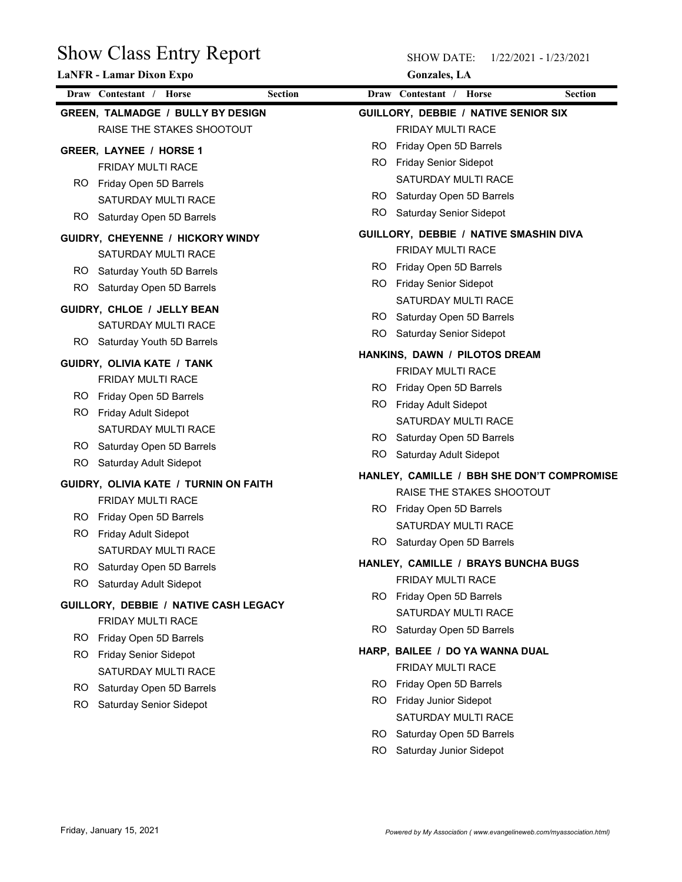|                                          | <b>Show Class Entry Report</b> |            | <b>SHOW DATE:</b><br>1/22/2021 - 1/23/2021      |                |
|------------------------------------------|--------------------------------|------------|-------------------------------------------------|----------------|
| LaNFR - Lamar Dixon Expo                 |                                |            | <b>Gonzales</b> , LA                            |                |
| Draw Contestant / Horse                  | <b>Section</b>                 |            | Draw Contestant / Horse                         | <b>Section</b> |
| <b>GREEN, TALMADGE / BULLY BY DESIGN</b> |                                |            | GUILLORY, DEBBIE / NATIVE SENIOR SIX            |                |
| RAISE THE STAKES SHOOTOUT                |                                |            | FRIDAY MULTI RACE                               |                |
| GREER, LAYNEE / HORSE 1                  |                                | RO.        | Friday Open 5D Barrels                          |                |
| FRIDAY MULTI RACE                        |                                | RO.        | Friday Senior Sidepot                           |                |
| Friday Open 5D Barrels<br>RO.            |                                |            | SATURDAY MULTI RACE                             |                |
| SATURDAY MULTI RACE                      |                                | RO.<br>RO. | Saturday Open 5D Barrels                        |                |
| Saturday Open 5D Barrels<br>RO.          |                                |            | Saturday Senior Sidepot                         |                |
| GUIDRY, CHEYENNE / HICKORY WINDY         |                                |            | GUILLORY, DEBBIE / NATIVE SMASHIN DIVA          |                |
| SATURDAY MULTI RACE                      |                                |            | FRIDAY MULTI RACE                               |                |
| Saturday Youth 5D Barrels<br>RO.         |                                | RO.        | Friday Open 5D Barrels                          |                |
| RO.<br>Saturday Open 5D Barrels          |                                | RO.        | <b>Friday Senior Sidepot</b>                    |                |
| GUIDRY, CHLOE / JELLY BEAN               |                                | RO.        | SATURDAY MULTI RACE<br>Saturday Open 5D Barrels |                |
| SATURDAY MULTI RACE                      |                                | <b>RO</b>  | Saturday Senior Sidepot                         |                |
| Saturday Youth 5D Barrels<br>RO.         |                                |            |                                                 |                |
| GUIDRY, OLIVIA KATE / TANK               |                                |            | HANKINS, DAWN / PILOTOS DREAM                   |                |
| FRIDAY MULTI RACE                        |                                |            | FRIDAY MULTI RACE                               |                |
| Friday Open 5D Barrels<br>RO.            |                                |            | RO Friday Open 5D Barrels                       |                |
| Friday Adult Sidepot<br>RO.              |                                |            | RO Friday Adult Sidepot                         |                |
| SATURDAY MULTI RACE                      |                                |            | SATURDAY MULTI RACE                             |                |
| Saturday Open 5D Barrels<br>RO.          |                                | RO.        | Saturday Open 5D Barrels                        |                |
| Saturday Adult Sidepot<br>RO.            |                                | RO         | Saturday Adult Sidepot                          |                |
| GUIDRY, OLIVIA KATE / TURNIN ON FAITH    |                                |            | HANLEY, CAMILLE / BBH SHE DON'T COMPROMISE      |                |
| FRIDAY MULTI RACE                        |                                |            | RAISE THE STAKES SHOOTOUT                       |                |
| Friday Open 5D Barrels<br>RO.            |                                |            | RO Friday Open 5D Barrels                       |                |
| RO.<br>Friday Adult Sidepot              |                                |            | SATURDAY MULTI RACE                             |                |
| SATURDAY MULTI RACE                      |                                |            | RO Saturday Open 5D Barrels                     |                |
| Saturday Open 5D Barrels<br>RO.          |                                |            | HANLEY, CAMILLE / BRAYS BUNCHA BUGS             |                |
| RO<br>Saturday Adult Sidepot             |                                |            | FRIDAY MULTI RACE                               |                |
| GUILLORY, DEBBIE / NATIVE CASH LEGACY    |                                |            | RO Friday Open 5D Barrels                       |                |
| FRIDAY MULTI RACE                        |                                |            | SATURDAY MULTI RACE                             |                |
| Friday Open 5D Barrels<br>RO.            |                                | RO.        | Saturday Open 5D Barrels                        |                |
| RO.<br><b>Friday Senior Sidepot</b>      |                                |            | HARP, BAILEE / DO YA WANNA DUAL                 |                |
| SATURDAY MULTI RACE                      |                                |            | FRIDAY MULTI RACE                               |                |
| Saturday Open 5D Barrels<br>RO.          |                                | RO.        | Friday Open 5D Barrels                          |                |
| Saturday Senior Sidepot<br>RO.           |                                |            | RO Friday Junior Sidepot                        |                |
|                                          |                                |            | SATURDAY MULTI RACE                             |                |
|                                          |                                |            |                                                 |                |
|                                          |                                | RO.        | Saturday Open 5D Barrels                        |                |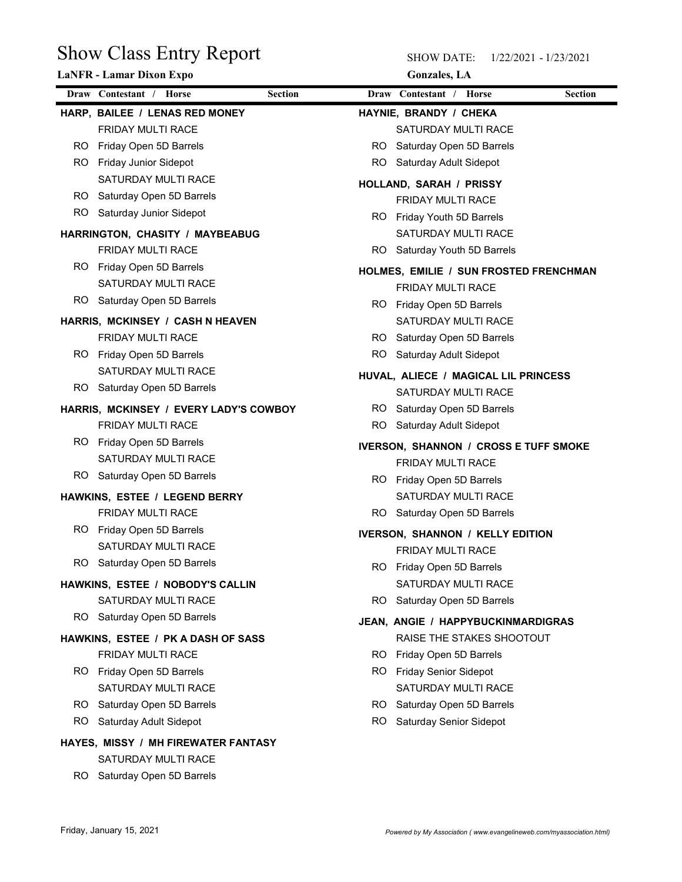| <b>Show Class Entry Report</b><br><b>LaNFR</b> - Lamar Dixon Expo | <b>SHOW DATE:</b><br><b>Gonzales</b> , LA       | 1/22/2021 - 1/23/2021 |
|-------------------------------------------------------------------|-------------------------------------------------|-----------------------|
| Draw Contestant / Horse<br><b>Section</b>                         | Draw Contestant / Horse                         | <b>Section</b>        |
| HARP, BAILEE / LENAS RED MONEY                                    | HAYNIE, BRANDY / CHEKA                          |                       |
| FRIDAY MULTI RACE                                                 | SATURDAY MULTI RACE                             |                       |
| Friday Open 5D Barrels<br>RO.                                     | Saturday Open 5D Barrels<br>RO.                 |                       |
| Friday Junior Sidepot<br>RO.                                      | Saturday Adult Sidepot<br>RO.                   |                       |
| SATURDAY MULTI RACE                                               | HOLLAND, SARAH / PRISSY                         |                       |
| Saturday Open 5D Barrels<br>RO.                                   | FRIDAY MULTI RACE                               |                       |
| <b>RO</b><br>Saturday Junior Sidepot                              | RO Friday Youth 5D Barrels                      |                       |
| HARRINGTON, CHASITY / MAYBEABUG                                   | SATURDAY MULTI RACE                             |                       |
| FRIDAY MULTI RACE                                                 | RO.<br>Saturday Youth 5D Barrels                |                       |
| RO.<br>Friday Open 5D Barrels                                     | HOLMES, EMILIE / SUN FROSTED FRENCHMAN          |                       |
| <b>SATURDAY MULTI RACE</b>                                        | <b>FRIDAY MULTI RACE</b>                        |                       |
| RO<br>Saturday Open 5D Barrels                                    | RO Friday Open 5D Barrels                       |                       |
| HARRIS, MCKINSEY / CASH N HEAVEN                                  | SATURDAY MULTI RACE                             |                       |
| FRIDAY MULTI RACE                                                 | RO Saturday Open 5D Barrels                     |                       |
| RO Friday Open 5D Barrels                                         | RO Saturday Adult Sidepot                       |                       |
| SATURDAY MULTI RACE                                               | HUVAL, ALIECE / MAGICAL LIL PRINCESS            |                       |
| Saturday Open 5D Barrels<br>RO.                                   | SATURDAY MULTI RACE                             |                       |
| HARRIS, MCKINSEY / EVERY LADY'S COWBOY                            | RO Saturday Open 5D Barrels                     |                       |
| FRIDAY MULTI RACE                                                 | RO.<br>Saturday Adult Sidepot                   |                       |
| RO Friday Open 5D Barrels                                         | <b>IVERSON, SHANNON / CROSS E TUFF SMOKE</b>    |                       |
| SATURDAY MULTI RACE                                               | FRIDAY MULTI RACE                               |                       |
| RO Saturday Open 5D Barrels                                       | RO Friday Open 5D Barrels                       |                       |
| HAWKINS, ESTEE / LEGEND BERRY                                     | SATURDAY MULTI RACE                             |                       |
| FRIDAY MULTI RACE                                                 | RO Saturday Open 5D Barrels                     |                       |
| RO Friday Open 5D Barrels                                         | <b>IVERSON, SHANNON / KELLY EDITION</b>         |                       |
| SATURDAY MULTI RACE                                               | FRIDAY MULTI RACE                               |                       |
| RO Saturday Open 5D Barrels                                       | RO Friday Open 5D Barrels                       |                       |
| HAWKINS, ESTEE / NOBODY'S CALLIN                                  | SATURDAY MULTI RACE                             |                       |
| SATURDAY MULTI RACE                                               | RO.<br>Saturday Open 5D Barrels                 |                       |
| RO Saturday Open 5D Barrels                                       |                                                 |                       |
|                                                                   | JEAN, ANGIE / HAPPYBUCKINMARDIGRAS              |                       |
| HAWKINS, ESTEE / PK A DASH OF SASS                                | RAISE THE STAKES SHOOTOUT                       |                       |
| FRIDAY MULTI RACE                                                 | RO Friday Open 5D Barrels                       |                       |
| RO Friday Open 5D Barrels                                         | RO Friday Senior Sidepot<br>SATURDAY MULTI RACE |                       |
| SATURDAY MULTI RACE                                               |                                                 |                       |
| Saturday Open 5D Barrels<br>RO.                                   | RO Saturday Open 5D Barrels<br>RO.              |                       |
| RO.<br>Saturday Adult Sidepot                                     | <b>Saturday Senior Sidepot</b>                  |                       |
| HAYES, MISSY / MH FIREWATER FANTASY                               |                                                 |                       |
| SATURDAY MULTI RACE                                               |                                                 |                       |
| RO Saturday Open 5D Barrels                                       |                                                 |                       |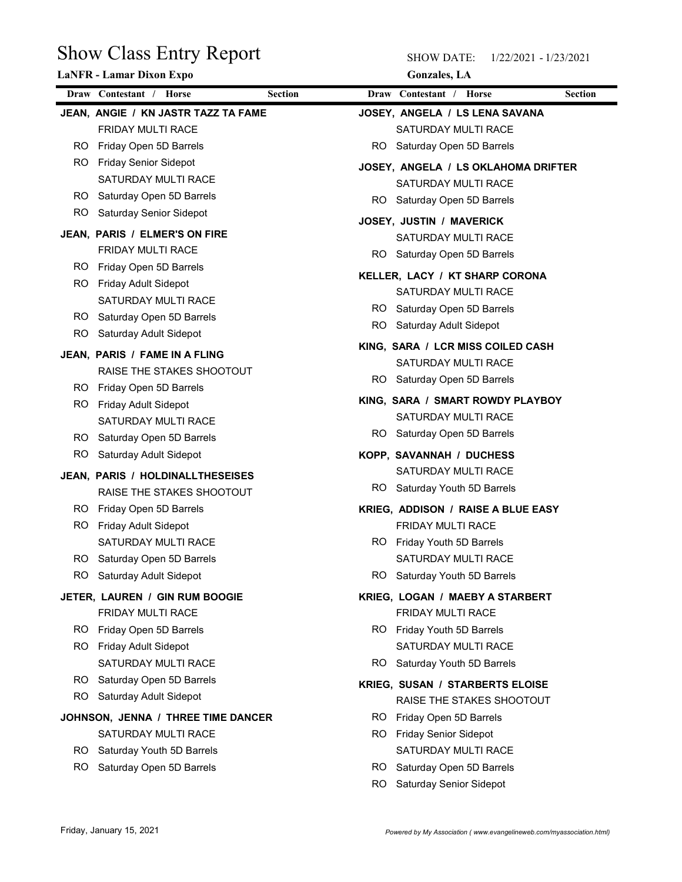|           | <b>Show Class Entry Report</b>                      |            | <b>SHOW DATE:</b><br>1/22/2021 - 1/23/2021              |                |
|-----------|-----------------------------------------------------|------------|---------------------------------------------------------|----------------|
|           | <b>LaNFR</b> - Lamar Dixon Expo                     |            | <b>Gonzales</b> , LA                                    |                |
|           | Draw Contestant / Horse<br><b>Section</b>           |            | Draw Contestant / Horse                                 | <b>Section</b> |
|           | JEAN, ANGIE / KN JASTR TAZZ TA FAME                 |            | JOSEY, ANGELA / LS LENA SAVANA                          |                |
|           | FRIDAY MULTI RACE                                   |            | SATURDAY MULTI RACE                                     |                |
| RO.       | Friday Open 5D Barrels                              | RO.        | Saturday Open 5D Barrels                                |                |
| RO.       | <b>Friday Senior Sidepot</b>                        |            | JOSEY, ANGELA / LS OKLAHOMA DRIFTER                     |                |
| RO.       | SATURDAY MULTI RACE<br>Saturday Open 5D Barrels     |            | SATURDAY MULTI RACE                                     |                |
| RO.       | Saturday Senior Sidepot                             | RO.        | Saturday Open 5D Barrels                                |                |
|           |                                                     |            | JOSEY, JUSTIN / MAVERICK                                |                |
|           | JEAN, PARIS / ELMER'S ON FIRE<br>FRIDAY MULTI RACE  |            | SATURDAY MULTI RACE                                     |                |
| RO.       | Friday Open 5D Barrels                              | RO.        | Saturday Open 5D Barrels                                |                |
| RO.       | Friday Adult Sidepot                                |            | KELLER, LACY / KT SHARP CORONA                          |                |
|           | SATURDAY MULTI RACE                                 |            | SATURDAY MULTI RACE                                     |                |
| RO.       | Saturday Open 5D Barrels                            | RO.        | Saturday Open 5D Barrels                                |                |
| <b>RO</b> | Saturday Adult Sidepot                              | RO.        | Saturday Adult Sidepot                                  |                |
|           | JEAN, PARIS / FAME IN A FLING                       |            | KING, SARA / LCR MISS COILED CASH                       |                |
|           | RAISE THE STAKES SHOOTOUT                           |            | SATURDAY MULTI RACE<br>RO Saturday Open 5D Barrels      |                |
| RO.       | Friday Open 5D Barrels                              |            |                                                         |                |
| RO.       | Friday Adult Sidepot                                |            | KING, SARA / SMART ROWDY PLAYBOY<br>SATURDAY MULTI RACE |                |
|           | SATURDAY MULTI RACE                                 |            | RO Saturday Open 5D Barrels                             |                |
| RO.       | Saturday Open 5D Barrels                            |            |                                                         |                |
| RO.       | Saturday Adult Sidepot                              |            | KOPP, SAVANNAH / DUCHESS<br>SATURDAY MULTI RACE         |                |
|           | JEAN, PARIS / HOLDINALLTHESEISES                    |            | RO Saturday Youth 5D Barrels                            |                |
| RO.       | RAISE THE STAKES SHOOTOUT<br>Friday Open 5D Barrels |            | KRIEG, ADDISON / RAISE A BLUE EASY                      |                |
| RO.       | Friday Adult Sidepot                                |            | FRIDAY MULTI RACE                                       |                |
|           | SATURDAY MULTI RACE                                 |            | RO Friday Youth 5D Barrels                              |                |
| RO.       | Saturday Open 5D Barrels                            |            | SATURDAY MULTI RACE                                     |                |
| RO.       | Saturday Adult Sidepot                              | RO.        | Saturday Youth 5D Barrels                               |                |
|           | JETER, LAUREN / GIN RUM BOOGIE                      |            | KRIEG, LOGAN / MAEBY A STARBERT                         |                |
|           | FRIDAY MULTI RACE                                   |            | FRIDAY MULTI RACE                                       |                |
| RO.       | Friday Open 5D Barrels                              |            | RO Friday Youth 5D Barrels                              |                |
| RO.       | Friday Adult Sidepot                                |            | SATURDAY MULTI RACE                                     |                |
|           | SATURDAY MULTI RACE                                 | RO.        | Saturday Youth 5D Barrels                               |                |
| RO.       | Saturday Open 5D Barrels                            |            | <b>KRIEG, SUSAN / STARBERTS ELOISE</b>                  |                |
| RO.       | Saturday Adult Sidepot                              |            | RAISE THE STAKES SHOOTOUT                               |                |
|           | JOHNSON, JENNA / THREE TIME DANCER                  |            | RO Friday Open 5D Barrels                               |                |
|           | SATURDAY MULTI RACE                                 |            | RO Friday Senior Sidepot                                |                |
| RO.       | Saturday Youth 5D Barrels                           |            | SATURDAY MULTI RACE                                     |                |
| RO.       | Saturday Open 5D Barrels                            | RO.<br>RO. | Saturday Open 5D Barrels<br>Saturday Senior Sidepot     |                |
|           |                                                     |            |                                                         |                |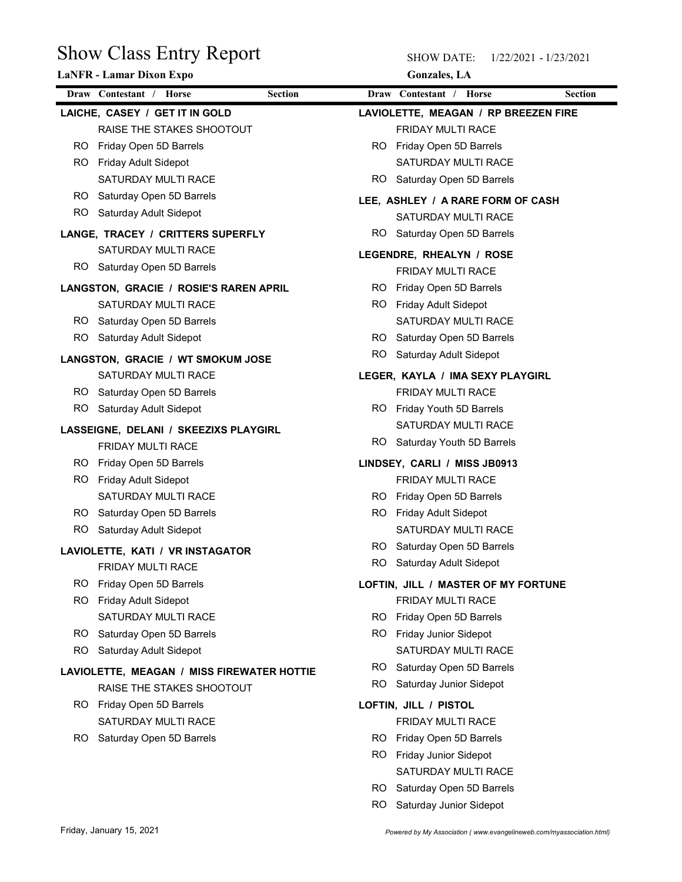| <b>Show Class Entry Report</b><br><b>LaNFR - Lamar Dixon Expo</b> | <b>SHOW DATE:</b><br>1/22/2021 - 1/23/2021<br><b>Gonzales</b> , LA |
|-------------------------------------------------------------------|--------------------------------------------------------------------|
| Draw Contestant / Horse<br><b>Section</b>                         | Draw Contestant / Horse<br><b>Section</b>                          |
| LAICHE, CASEY / GET IT IN GOLD                                    | LAVIOLETTE, MEAGAN / RP BREEZEN FIRE                               |
| RAISE THE STAKES SHOOTOUT                                         | FRIDAY MULTI RACE                                                  |
| Friday Open 5D Barrels<br>RO                                      | RO Friday Open 5D Barrels                                          |
| <b>Friday Adult Sidepot</b><br>RO.                                | SATURDAY MULTI RACE                                                |
| SATURDAY MULTI RACE                                               | <b>RO</b><br>Saturday Open 5D Barrels                              |
| Saturday Open 5D Barrels<br>RO.                                   | LEE, ASHLEY / A RARE FORM OF CASH                                  |
| Saturday Adult Sidepot<br><b>RO</b>                               | SATURDAY MULTI RACE                                                |
| LANGE, TRACEY / CRITTERS SUPERFLY                                 | RO.<br>Saturday Open 5D Barrels                                    |
| SATURDAY MULTI RACE                                               | LEGENDRE, RHEALYN / ROSE                                           |
| Saturday Open 5D Barrels<br>RO.                                   | FRIDAY MULTI RACE                                                  |
| LANGSTON, GRACIE / ROSIE'S RAREN APRIL                            | RO Friday Open 5D Barrels                                          |
| SATURDAY MULTI RACE                                               | RO Friday Adult Sidepot                                            |
| RO Saturday Open 5D Barrels                                       | SATURDAY MULTI RACE                                                |
| RO<br>Saturday Adult Sidepot                                      | RO.<br>Saturday Open 5D Barrels                                    |
| LANGSTON, GRACIE / WT SMOKUM JOSE                                 | RO.<br>Saturday Adult Sidepot                                      |
| SATURDAY MULTI RACE                                               | LEGER, KAYLA / IMA SEXY PLAYGIRL                                   |
| Saturday Open 5D Barrels<br>RO.                                   | FRIDAY MULTI RACE                                                  |
| RO<br>Saturday Adult Sidepot                                      | RO Friday Youth 5D Barrels                                         |
| LASSEIGNE, DELANI / SKEEZIXS PLAYGIRL                             | SATURDAY MULTI RACE                                                |
| FRIDAY MULTI RACE                                                 | RO.<br>Saturday Youth 5D Barrels                                   |
| Friday Open 5D Barrels<br>RO.                                     | LINDSEY, CARLI / MISS JB0913                                       |
| Friday Adult Sidepot<br>RO.                                       | FRIDAY MULTI RACE                                                  |
| SATURDAY MULTI RACE                                               | RO Friday Open 5D Barrels                                          |
| Saturday Open 5D Barrels<br>RO.                                   | RO Friday Adult Sidepot                                            |
| Saturday Adult Sidepot<br>RO.                                     | SATURDAY MULTI RACE                                                |
| LAVIOLETTE, KATI / VR INSTAGATOR                                  | RO.<br>Saturday Open 5D Barrels                                    |
| FRIDAY MULTI RACE                                                 | RO.<br>Saturday Adult Sidepot                                      |
| Friday Open 5D Barrels<br>RO.                                     | LOFTIN, JILL / MASTER OF MY FORTUNE                                |
| RO.<br><b>Friday Adult Sidepot</b>                                | FRIDAY MULTI RACE                                                  |
| SATURDAY MULTI RACE                                               | RO Friday Open 5D Barrels                                          |
| RO.<br>Saturday Open 5D Barrels                                   | RO.<br>Friday Junior Sidepot                                       |
| RO<br>Saturday Adult Sidepot                                      | SATURDAY MULTI RACE                                                |
| LAVIOLETTE, MEAGAN / MISS FIREWATER HOTTIE                        | RO.<br>Saturday Open 5D Barrels                                    |
| RAISE THE STAKES SHOOTOUT                                         | RO.<br>Saturday Junior Sidepot                                     |
| RO Friday Open 5D Barrels                                         | LOFTIN, JILL / PISTOL                                              |
| SATURDAY MULTI RACE                                               | FRIDAY MULTI RACE                                                  |
| Saturday Open 5D Barrels<br>RO.                                   | Friday Open 5D Barrels<br>RO.                                      |
|                                                                   | Friday Junior Sidepot<br>RO.                                       |
|                                                                   | SATURDAY MULTI RACE                                                |
|                                                                   | RO.<br>Saturday Open 5D Barrels                                    |

RO Saturday Junior Sidepot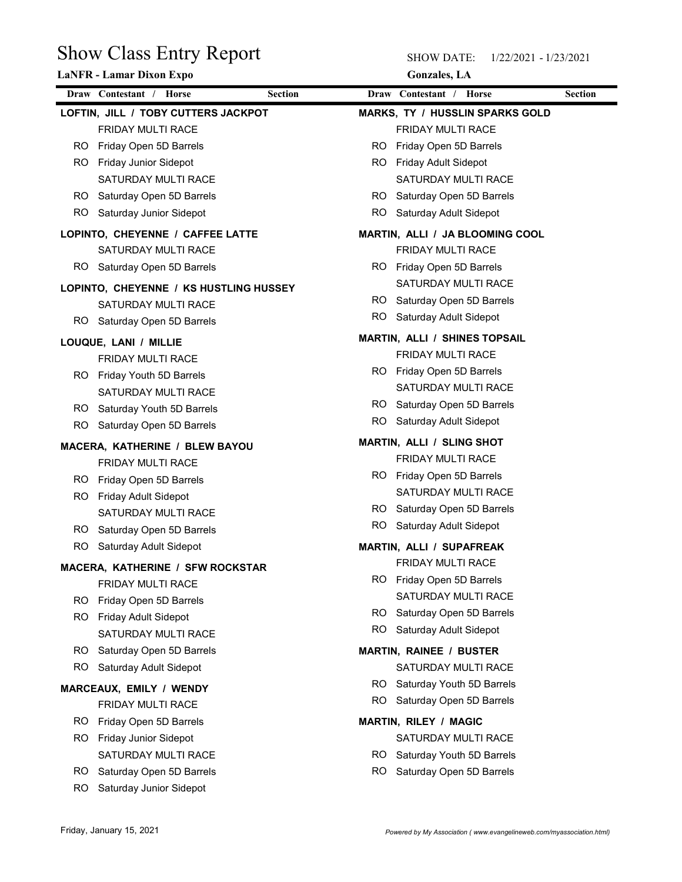|           | <b>Show Class Entry Report</b>         |                | <b>SHOW DATE:</b><br>1/22/2021 - 1/23/2021 |                |
|-----------|----------------------------------------|----------------|--------------------------------------------|----------------|
|           | LaNFR - Lamar Dixon Expo               |                | <b>Gonzales</b> , LA                       |                |
|           | Draw Contestant / Horse                | <b>Section</b> | Draw Contestant / Horse                    | <b>Section</b> |
|           | LOFTIN, JILL / TOBY CUTTERS JACKPOT    |                | <b>MARKS, TY / HUSSLIN SPARKS GOLD</b>     |                |
|           | FRIDAY MULTI RACE                      |                | FRIDAY MULTI RACE                          |                |
| RO.       | Friday Open 5D Barrels                 | <b>RO</b>      | Friday Open 5D Barrels                     |                |
| RO.       | <b>Friday Junior Sidepot</b>           | RO.            | Friday Adult Sidepot                       |                |
|           | SATURDAY MULTI RACE                    |                | SATURDAY MULTI RACE                        |                |
| RO.       | Saturday Open 5D Barrels               | RO.            | Saturday Open 5D Barrels                   |                |
| RO.       | Saturday Junior Sidepot                | RO.            | Saturday Adult Sidepot                     |                |
|           | LOPINTO, CHEYENNE / CAFFEE LATTE       |                | MARTIN, ALLI / JA BLOOMING COOL            |                |
|           | SATURDAY MULTI RACE                    |                | FRIDAY MULTI RACE                          |                |
| RO.       | Saturday Open 5D Barrels               |                | RO Friday Open 5D Barrels                  |                |
|           | LOPINTO, CHEYENNE / KS HUSTLING HUSSEY |                | SATURDAY MULTI RACE                        |                |
|           | SATURDAY MULTI RACE                    | <b>RO</b>      | Saturday Open 5D Barrels                   |                |
|           | RO Saturday Open 5D Barrels            |                | RO Saturday Adult Sidepot                  |                |
|           | LOUQUE, LANI / MILLIE                  |                | <b>MARTIN, ALLI / SHINES TOPSAIL</b>       |                |
|           | FRIDAY MULTI RACE                      |                | FRIDAY MULTI RACE                          |                |
|           | RO Friday Youth 5D Barrels             |                | RO Friday Open 5D Barrels                  |                |
|           | SATURDAY MULTI RACE                    |                | SATURDAY MULTI RACE                        |                |
| RO.       | Saturday Youth 5D Barrels              | RO.            | Saturday Open 5D Barrels                   |                |
| RO        | Saturday Open 5D Barrels               | RO.            | Saturday Adult Sidepot                     |                |
|           | MACERA, KATHERINE / BLEW BAYOU         |                | <b>MARTIN, ALLI / SLING SHOT</b>           |                |
|           | FRIDAY MULTI RACE                      |                | FRIDAY MULTI RACE                          |                |
| RO.       | Friday Open 5D Barrels                 |                | RO Friday Open 5D Barrels                  |                |
| RO.       | Friday Adult Sidepot                   |                | SATURDAY MULTI RACE                        |                |
|           | SATURDAY MULTI RACE                    |                | RO Saturday Open 5D Barrels                |                |
| RO.       | Saturday Open 5D Barrels               | RO.            | Saturday Adult Sidepot                     |                |
| RO        | Saturday Adult Sidepot                 |                | MARTIN, ALLI / SUPAFREAK                   |                |
|           | MACERA, KATHERINE / SFW ROCKSTAR       |                | FRIDAY MULTI RACE                          |                |
|           | FRIDAY MULTI RACE                      |                | RO Friday Open 5D Barrels                  |                |
| RO.       | Friday Open 5D Barrels                 |                | SATURDAY MULTI RACE                        |                |
| RO        | Friday Adult Sidepot                   | RO.            | Saturday Open 5D Barrels                   |                |
|           | SATURDAY MULTI RACE                    | RO             | Saturday Adult Sidepot                     |                |
| RO.       | Saturday Open 5D Barrels               |                | <b>MARTIN, RAINEE / BUSTER</b>             |                |
| <b>RO</b> | Saturday Adult Sidepot                 |                | SATURDAY MULTI RACE                        |                |
|           |                                        |                | RO Saturday Youth 5D Barrels               |                |
|           | MARCEAUX, EMILY / WENDY                | RO.            | Saturday Open 5D Barrels                   |                |
|           | FRIDAY MULTI RACE                      |                |                                            |                |
| RO.       | Friday Open 5D Barrels                 |                | <b>MARTIN, RILEY / MAGIC</b>               |                |
| RO.       | Friday Junior Sidepot                  |                | SATURDAY MULTI RACE                        |                |
|           | SATURDAY MULTI RACE                    | RO.            | Saturday Youth 5D Barrels                  |                |
| RO.       | Saturday Open 5D Barrels               | <b>RO</b>      | Saturday Open 5D Barrels                   |                |
|           | <b>RO</b><br>Saturday Junior Sidepot   |                |                                            |                |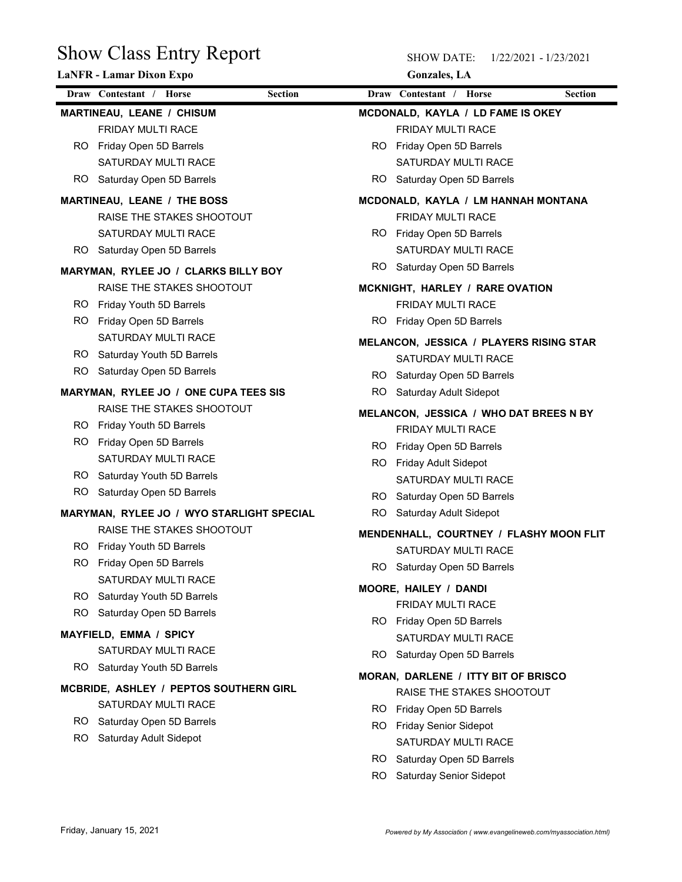| <b>Show Class Entry Report</b>                                    | <b>SHOW DATE:</b><br>1/22/2021 - 1/23/2021                     |
|-------------------------------------------------------------------|----------------------------------------------------------------|
| <b>LaNFR - Lamar Dixon Expo</b>                                   | <b>Gonzales</b> , LA                                           |
| Draw Contestant / Horse<br><b>Section</b>                         | Draw Contestant / Horse<br><b>Section</b>                      |
| MARTINEAU, LEANE / CHISUM                                         | MCDONALD, KAYLA / LD FAME IS OKEY                              |
| FRIDAY MULTI RACE                                                 | FRIDAY MULTI RACE                                              |
| Friday Open 5D Barrels<br>RO.                                     | RO Friday Open 5D Barrels                                      |
| SATURDAY MULTI RACE<br>Saturday Open 5D Barrels<br>RO.            | SATURDAY MULTI RACE<br>Saturday Open 5D Barrels<br>RO.         |
|                                                                   |                                                                |
| <b>MARTINEAU, LEANE / THE BOSS</b>                                | MCDONALD, KAYLA / LM HANNAH MONTANA                            |
| RAISE THE STAKES SHOOTOUT<br>SATURDAY MULTI RACE                  | FRIDAY MULTI RACE<br>RO Friday Open 5D Barrels                 |
| RO.<br>Saturday Open 5D Barrels                                   | SATURDAY MULTI RACE                                            |
|                                                                   | RO.<br>Saturday Open 5D Barrels                                |
| MARYMAN, RYLEE JO / CLARKS BILLY BOY<br>RAISE THE STAKES SHOOTOUT | MCKNIGHT, HARLEY / RARE OVATION                                |
| RO Friday Youth 5D Barrels                                        | FRIDAY MULTI RACE                                              |
| RO.<br>Friday Open 5D Barrels                                     | RO.<br>Friday Open 5D Barrels                                  |
| SATURDAY MULTI RACE                                               |                                                                |
| Saturday Youth 5D Barrels<br>RO.                                  | MELANCON, JESSICA / PLAYERS RISING STAR<br>SATURDAY MULTI RACE |
| RO.<br>Saturday Open 5D Barrels                                   | RO Saturday Open 5D Barrels                                    |
| MARYMAN, RYLEE JO / ONE CUPA TEES SIS                             | RO.<br>Saturday Adult Sidepot                                  |
| RAISE THE STAKES SHOOTOUT                                         | MELANCON, JESSICA / WHO DAT BREES N BY                         |
| RO.<br>Friday Youth 5D Barrels                                    | FRIDAY MULTI RACE                                              |
| RO.<br>Friday Open 5D Barrels                                     | RO Friday Open 5D Barrels                                      |
| SATURDAY MULTI RACE                                               | Friday Adult Sidepot<br>RO.                                    |
| RO.<br>Saturday Youth 5D Barrels                                  | SATURDAY MULTI RACE                                            |
| RO.<br>Saturday Open 5D Barrels                                   | Saturday Open 5D Barrels<br>RO.                                |
| MARYMAN, RYLEE JO / WYO STARLIGHT SPECIAL                         | RO.<br>Saturday Adult Sidepot                                  |
| RAISE THE STAKES SHOOTOUT                                         | MENDENHALL, COURTNEY / FLASHY MOON FLIT                        |
| RO.<br>Friday Youth 5D Barrels                                    | SATURDAY MULTI RACE                                            |
| Friday Open 5D Barrels<br>RO.                                     | RO Saturday Open 5D Barrels                                    |
| SATURDAY MULTI RACE                                               | MOORE, HAILEY / DANDI                                          |
| RO.<br>Saturday Youth 5D Barrels                                  | FRIDAY MULTI RACE                                              |
| RO.<br>Saturday Open 5D Barrels                                   | RO Friday Open 5D Barrels                                      |
| MAYFIELD, EMMA / SPICY                                            | SATURDAY MULTI RACE                                            |
| SATURDAY MULTI RACE                                               | Saturday Open 5D Barrels<br>RO.                                |
| RO Saturday Youth 5D Barrels                                      | MORAN, DARLENE / ITTY BIT OF BRISCO                            |
| MCBRIDE, ASHLEY / PEPTOS SOUTHERN GIRL                            | RAISE THE STAKES SHOOTOUT                                      |
| SATURDAY MULTI RACE                                               | RO.<br>Friday Open 5D Barrels                                  |
| RO Saturday Open 5D Barrels                                       | Friday Senior Sidepot<br>RO.                                   |
| RO.<br>Saturday Adult Sidepot                                     | SATURDAY MULTI RACE                                            |
|                                                                   | Saturday Open 5D Barrels<br>RO.                                |
|                                                                   | Saturday Senior Sidepot<br>RO.                                 |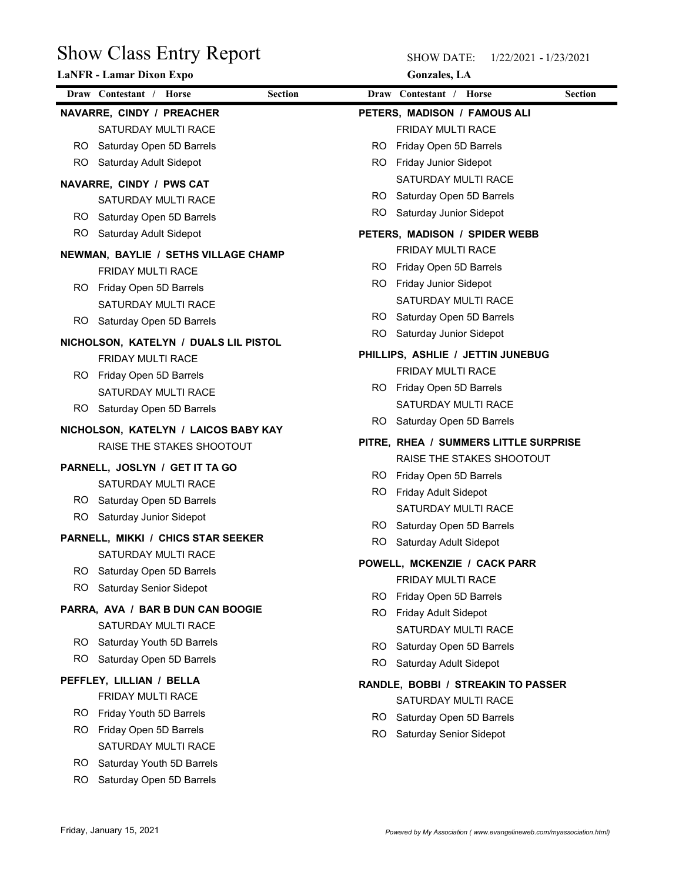| Draw Contestant / Horse<br>Draw Contestant / Horse<br><b>Section</b><br><b>Section</b><br>NAVARRE, CINDY / PREACHER<br>PETERS, MADISON / FAMOUS ALI<br>SATURDAY MULTI RACE<br>FRIDAY MULTI RACE<br>Saturday Open 5D Barrels<br>Friday Open 5D Barrels<br>RO.<br>RO.<br>Friday Junior Sidepot<br>Saturday Adult Sidepot<br>RO<br>RO.<br>SATURDAY MULTI RACE<br>NAVARRE, CINDY / PWS CAT<br>Saturday Open 5D Barrels<br>RO.<br>SATURDAY MULTI RACE<br>RO.<br>Saturday Junior Sidepot<br>Saturday Open 5D Barrels<br>RO.<br>RO.<br>Saturday Adult Sidepot<br>PETERS, MADISON / SPIDER WEBB<br>FRIDAY MULTI RACE<br>NEWMAN, BAYLIE / SETHS VILLAGE CHAMP<br>RO.<br>Friday Open 5D Barrels<br>FRIDAY MULTI RACE<br>RO.<br>Friday Junior Sidepot<br>RO.<br>Friday Open 5D Barrels<br>SATURDAY MULTI RACE<br>SATURDAY MULTI RACE<br>RO Saturday Open 5D Barrels<br>RO Saturday Open 5D Barrels<br><b>RO</b><br>Saturday Junior Sidepot<br>NICHOLSON, KATELYN / DUALS LIL PISTOL<br>PHILLIPS, ASHLIE / JETTIN JUNEBUG<br>FRIDAY MULTI RACE<br>FRIDAY MULTI RACE<br>RO Friday Open 5D Barrels<br>RO Friday Open 5D Barrels<br>SATURDAY MULTI RACE<br>SATURDAY MULTI RACE<br>RO Saturday Open 5D Barrels<br>Saturday Open 5D Barrels<br>RO.<br>NICHOLSON, KATELYN / LAICOS BABY KAY<br>PITRE, RHEA / SUMMERS LITTLE SURPRISE<br>RAISE THE STAKES SHOOTOUT<br>RAISE THE STAKES SHOOTOUT<br>PARNELL, JOSLYN / GET IT TA GO<br>RO Friday Open 5D Barrels<br>SATURDAY MULTI RACE<br>RO Friday Adult Sidepot<br>Saturday Open 5D Barrels<br>RO.<br>SATURDAY MULTI RACE<br>RO.<br>Saturday Junior Sidepot<br>RO Saturday Open 5D Barrels<br>PARNELL, MIKKI / CHICS STAR SEEKER<br>Saturday Adult Sidepot<br>RO.<br>SATURDAY MULTI RACE<br>POWELL, MCKENZIE / CACK PARR<br>Saturday Open 5D Barrels<br>RO.<br>FRIDAY MULTI RACE<br>RO.<br>Saturday Senior Sidepot<br>RO Friday Open 5D Barrels<br>PARRA, AVA / BAR B DUN CAN BOOGIE<br>RO Friday Adult Sidepot<br>SATURDAY MULTI RACE<br>SATURDAY MULTI RACE<br>RO.<br>Saturday Youth 5D Barrels<br>RO.<br>Saturday Open 5D Barrels<br>RO.<br>Saturday Open 5D Barrels<br>RO.<br>Saturday Adult Sidepot<br>PEFFLEY, LILLIAN / BELLA<br>RANDLE, BOBBI / STREAKIN TO PASSER<br>FRIDAY MULTI RACE<br>SATURDAY MULTI RACE<br>Friday Youth 5D Barrels<br>RO.<br>RO Saturday Open 5D Barrels<br>Friday Open 5D Barrels<br>RO.<br>RO<br>Saturday Senior Sidepot<br>SATURDAY MULTI RACE<br>RO.<br>Saturday Youth 5D Barrels | <b>Show Class Entry Report</b><br><b>LaNFR - Lamar Dixon Expo</b> | <b>SHOW DATE:</b><br><b>Gonzales</b> , LA | 1/22/2021 - 1/23/2021 |
|----------------------------------------------------------------------------------------------------------------------------------------------------------------------------------------------------------------------------------------------------------------------------------------------------------------------------------------------------------------------------------------------------------------------------------------------------------------------------------------------------------------------------------------------------------------------------------------------------------------------------------------------------------------------------------------------------------------------------------------------------------------------------------------------------------------------------------------------------------------------------------------------------------------------------------------------------------------------------------------------------------------------------------------------------------------------------------------------------------------------------------------------------------------------------------------------------------------------------------------------------------------------------------------------------------------------------------------------------------------------------------------------------------------------------------------------------------------------------------------------------------------------------------------------------------------------------------------------------------------------------------------------------------------------------------------------------------------------------------------------------------------------------------------------------------------------------------------------------------------------------------------------------------------------------------------------------------------------------------------------------------------------------------------------------------------------------------------------------------------------------------------------------------------------------------------------------------------------------------------------------------------------------------------------------------------------------------------------------------------------------------------------------------------------------------------------------|-------------------------------------------------------------------|-------------------------------------------|-----------------------|
|                                                                                                                                                                                                                                                                                                                                                                                                                                                                                                                                                                                                                                                                                                                                                                                                                                                                                                                                                                                                                                                                                                                                                                                                                                                                                                                                                                                                                                                                                                                                                                                                                                                                                                                                                                                                                                                                                                                                                                                                                                                                                                                                                                                                                                                                                                                                                                                                                                                    |                                                                   |                                           |                       |
|                                                                                                                                                                                                                                                                                                                                                                                                                                                                                                                                                                                                                                                                                                                                                                                                                                                                                                                                                                                                                                                                                                                                                                                                                                                                                                                                                                                                                                                                                                                                                                                                                                                                                                                                                                                                                                                                                                                                                                                                                                                                                                                                                                                                                                                                                                                                                                                                                                                    |                                                                   |                                           |                       |
|                                                                                                                                                                                                                                                                                                                                                                                                                                                                                                                                                                                                                                                                                                                                                                                                                                                                                                                                                                                                                                                                                                                                                                                                                                                                                                                                                                                                                                                                                                                                                                                                                                                                                                                                                                                                                                                                                                                                                                                                                                                                                                                                                                                                                                                                                                                                                                                                                                                    |                                                                   |                                           |                       |
|                                                                                                                                                                                                                                                                                                                                                                                                                                                                                                                                                                                                                                                                                                                                                                                                                                                                                                                                                                                                                                                                                                                                                                                                                                                                                                                                                                                                                                                                                                                                                                                                                                                                                                                                                                                                                                                                                                                                                                                                                                                                                                                                                                                                                                                                                                                                                                                                                                                    |                                                                   |                                           |                       |
|                                                                                                                                                                                                                                                                                                                                                                                                                                                                                                                                                                                                                                                                                                                                                                                                                                                                                                                                                                                                                                                                                                                                                                                                                                                                                                                                                                                                                                                                                                                                                                                                                                                                                                                                                                                                                                                                                                                                                                                                                                                                                                                                                                                                                                                                                                                                                                                                                                                    |                                                                   |                                           |                       |
|                                                                                                                                                                                                                                                                                                                                                                                                                                                                                                                                                                                                                                                                                                                                                                                                                                                                                                                                                                                                                                                                                                                                                                                                                                                                                                                                                                                                                                                                                                                                                                                                                                                                                                                                                                                                                                                                                                                                                                                                                                                                                                                                                                                                                                                                                                                                                                                                                                                    |                                                                   |                                           |                       |
|                                                                                                                                                                                                                                                                                                                                                                                                                                                                                                                                                                                                                                                                                                                                                                                                                                                                                                                                                                                                                                                                                                                                                                                                                                                                                                                                                                                                                                                                                                                                                                                                                                                                                                                                                                                                                                                                                                                                                                                                                                                                                                                                                                                                                                                                                                                                                                                                                                                    |                                                                   |                                           |                       |
|                                                                                                                                                                                                                                                                                                                                                                                                                                                                                                                                                                                                                                                                                                                                                                                                                                                                                                                                                                                                                                                                                                                                                                                                                                                                                                                                                                                                                                                                                                                                                                                                                                                                                                                                                                                                                                                                                                                                                                                                                                                                                                                                                                                                                                                                                                                                                                                                                                                    |                                                                   |                                           |                       |
|                                                                                                                                                                                                                                                                                                                                                                                                                                                                                                                                                                                                                                                                                                                                                                                                                                                                                                                                                                                                                                                                                                                                                                                                                                                                                                                                                                                                                                                                                                                                                                                                                                                                                                                                                                                                                                                                                                                                                                                                                                                                                                                                                                                                                                                                                                                                                                                                                                                    |                                                                   |                                           |                       |
|                                                                                                                                                                                                                                                                                                                                                                                                                                                                                                                                                                                                                                                                                                                                                                                                                                                                                                                                                                                                                                                                                                                                                                                                                                                                                                                                                                                                                                                                                                                                                                                                                                                                                                                                                                                                                                                                                                                                                                                                                                                                                                                                                                                                                                                                                                                                                                                                                                                    |                                                                   |                                           |                       |
|                                                                                                                                                                                                                                                                                                                                                                                                                                                                                                                                                                                                                                                                                                                                                                                                                                                                                                                                                                                                                                                                                                                                                                                                                                                                                                                                                                                                                                                                                                                                                                                                                                                                                                                                                                                                                                                                                                                                                                                                                                                                                                                                                                                                                                                                                                                                                                                                                                                    |                                                                   |                                           |                       |
|                                                                                                                                                                                                                                                                                                                                                                                                                                                                                                                                                                                                                                                                                                                                                                                                                                                                                                                                                                                                                                                                                                                                                                                                                                                                                                                                                                                                                                                                                                                                                                                                                                                                                                                                                                                                                                                                                                                                                                                                                                                                                                                                                                                                                                                                                                                                                                                                                                                    |                                                                   |                                           |                       |
|                                                                                                                                                                                                                                                                                                                                                                                                                                                                                                                                                                                                                                                                                                                                                                                                                                                                                                                                                                                                                                                                                                                                                                                                                                                                                                                                                                                                                                                                                                                                                                                                                                                                                                                                                                                                                                                                                                                                                                                                                                                                                                                                                                                                                                                                                                                                                                                                                                                    |                                                                   |                                           |                       |
|                                                                                                                                                                                                                                                                                                                                                                                                                                                                                                                                                                                                                                                                                                                                                                                                                                                                                                                                                                                                                                                                                                                                                                                                                                                                                                                                                                                                                                                                                                                                                                                                                                                                                                                                                                                                                                                                                                                                                                                                                                                                                                                                                                                                                                                                                                                                                                                                                                                    |                                                                   |                                           |                       |
|                                                                                                                                                                                                                                                                                                                                                                                                                                                                                                                                                                                                                                                                                                                                                                                                                                                                                                                                                                                                                                                                                                                                                                                                                                                                                                                                                                                                                                                                                                                                                                                                                                                                                                                                                                                                                                                                                                                                                                                                                                                                                                                                                                                                                                                                                                                                                                                                                                                    |                                                                   |                                           |                       |
|                                                                                                                                                                                                                                                                                                                                                                                                                                                                                                                                                                                                                                                                                                                                                                                                                                                                                                                                                                                                                                                                                                                                                                                                                                                                                                                                                                                                                                                                                                                                                                                                                                                                                                                                                                                                                                                                                                                                                                                                                                                                                                                                                                                                                                                                                                                                                                                                                                                    |                                                                   |                                           |                       |
|                                                                                                                                                                                                                                                                                                                                                                                                                                                                                                                                                                                                                                                                                                                                                                                                                                                                                                                                                                                                                                                                                                                                                                                                                                                                                                                                                                                                                                                                                                                                                                                                                                                                                                                                                                                                                                                                                                                                                                                                                                                                                                                                                                                                                                                                                                                                                                                                                                                    |                                                                   |                                           |                       |
|                                                                                                                                                                                                                                                                                                                                                                                                                                                                                                                                                                                                                                                                                                                                                                                                                                                                                                                                                                                                                                                                                                                                                                                                                                                                                                                                                                                                                                                                                                                                                                                                                                                                                                                                                                                                                                                                                                                                                                                                                                                                                                                                                                                                                                                                                                                                                                                                                                                    |                                                                   |                                           |                       |
|                                                                                                                                                                                                                                                                                                                                                                                                                                                                                                                                                                                                                                                                                                                                                                                                                                                                                                                                                                                                                                                                                                                                                                                                                                                                                                                                                                                                                                                                                                                                                                                                                                                                                                                                                                                                                                                                                                                                                                                                                                                                                                                                                                                                                                                                                                                                                                                                                                                    |                                                                   |                                           |                       |
|                                                                                                                                                                                                                                                                                                                                                                                                                                                                                                                                                                                                                                                                                                                                                                                                                                                                                                                                                                                                                                                                                                                                                                                                                                                                                                                                                                                                                                                                                                                                                                                                                                                                                                                                                                                                                                                                                                                                                                                                                                                                                                                                                                                                                                                                                                                                                                                                                                                    |                                                                   |                                           |                       |
|                                                                                                                                                                                                                                                                                                                                                                                                                                                                                                                                                                                                                                                                                                                                                                                                                                                                                                                                                                                                                                                                                                                                                                                                                                                                                                                                                                                                                                                                                                                                                                                                                                                                                                                                                                                                                                                                                                                                                                                                                                                                                                                                                                                                                                                                                                                                                                                                                                                    |                                                                   |                                           |                       |
|                                                                                                                                                                                                                                                                                                                                                                                                                                                                                                                                                                                                                                                                                                                                                                                                                                                                                                                                                                                                                                                                                                                                                                                                                                                                                                                                                                                                                                                                                                                                                                                                                                                                                                                                                                                                                                                                                                                                                                                                                                                                                                                                                                                                                                                                                                                                                                                                                                                    |                                                                   |                                           |                       |
|                                                                                                                                                                                                                                                                                                                                                                                                                                                                                                                                                                                                                                                                                                                                                                                                                                                                                                                                                                                                                                                                                                                                                                                                                                                                                                                                                                                                                                                                                                                                                                                                                                                                                                                                                                                                                                                                                                                                                                                                                                                                                                                                                                                                                                                                                                                                                                                                                                                    |                                                                   |                                           |                       |
|                                                                                                                                                                                                                                                                                                                                                                                                                                                                                                                                                                                                                                                                                                                                                                                                                                                                                                                                                                                                                                                                                                                                                                                                                                                                                                                                                                                                                                                                                                                                                                                                                                                                                                                                                                                                                                                                                                                                                                                                                                                                                                                                                                                                                                                                                                                                                                                                                                                    |                                                                   |                                           |                       |
|                                                                                                                                                                                                                                                                                                                                                                                                                                                                                                                                                                                                                                                                                                                                                                                                                                                                                                                                                                                                                                                                                                                                                                                                                                                                                                                                                                                                                                                                                                                                                                                                                                                                                                                                                                                                                                                                                                                                                                                                                                                                                                                                                                                                                                                                                                                                                                                                                                                    |                                                                   |                                           |                       |
|                                                                                                                                                                                                                                                                                                                                                                                                                                                                                                                                                                                                                                                                                                                                                                                                                                                                                                                                                                                                                                                                                                                                                                                                                                                                                                                                                                                                                                                                                                                                                                                                                                                                                                                                                                                                                                                                                                                                                                                                                                                                                                                                                                                                                                                                                                                                                                                                                                                    |                                                                   |                                           |                       |
|                                                                                                                                                                                                                                                                                                                                                                                                                                                                                                                                                                                                                                                                                                                                                                                                                                                                                                                                                                                                                                                                                                                                                                                                                                                                                                                                                                                                                                                                                                                                                                                                                                                                                                                                                                                                                                                                                                                                                                                                                                                                                                                                                                                                                                                                                                                                                                                                                                                    |                                                                   |                                           |                       |
|                                                                                                                                                                                                                                                                                                                                                                                                                                                                                                                                                                                                                                                                                                                                                                                                                                                                                                                                                                                                                                                                                                                                                                                                                                                                                                                                                                                                                                                                                                                                                                                                                                                                                                                                                                                                                                                                                                                                                                                                                                                                                                                                                                                                                                                                                                                                                                                                                                                    |                                                                   |                                           |                       |
|                                                                                                                                                                                                                                                                                                                                                                                                                                                                                                                                                                                                                                                                                                                                                                                                                                                                                                                                                                                                                                                                                                                                                                                                                                                                                                                                                                                                                                                                                                                                                                                                                                                                                                                                                                                                                                                                                                                                                                                                                                                                                                                                                                                                                                                                                                                                                                                                                                                    |                                                                   |                                           |                       |
|                                                                                                                                                                                                                                                                                                                                                                                                                                                                                                                                                                                                                                                                                                                                                                                                                                                                                                                                                                                                                                                                                                                                                                                                                                                                                                                                                                                                                                                                                                                                                                                                                                                                                                                                                                                                                                                                                                                                                                                                                                                                                                                                                                                                                                                                                                                                                                                                                                                    |                                                                   |                                           |                       |
|                                                                                                                                                                                                                                                                                                                                                                                                                                                                                                                                                                                                                                                                                                                                                                                                                                                                                                                                                                                                                                                                                                                                                                                                                                                                                                                                                                                                                                                                                                                                                                                                                                                                                                                                                                                                                                                                                                                                                                                                                                                                                                                                                                                                                                                                                                                                                                                                                                                    |                                                                   |                                           |                       |
|                                                                                                                                                                                                                                                                                                                                                                                                                                                                                                                                                                                                                                                                                                                                                                                                                                                                                                                                                                                                                                                                                                                                                                                                                                                                                                                                                                                                                                                                                                                                                                                                                                                                                                                                                                                                                                                                                                                                                                                                                                                                                                                                                                                                                                                                                                                                                                                                                                                    |                                                                   |                                           |                       |
|                                                                                                                                                                                                                                                                                                                                                                                                                                                                                                                                                                                                                                                                                                                                                                                                                                                                                                                                                                                                                                                                                                                                                                                                                                                                                                                                                                                                                                                                                                                                                                                                                                                                                                                                                                                                                                                                                                                                                                                                                                                                                                                                                                                                                                                                                                                                                                                                                                                    |                                                                   |                                           |                       |
|                                                                                                                                                                                                                                                                                                                                                                                                                                                                                                                                                                                                                                                                                                                                                                                                                                                                                                                                                                                                                                                                                                                                                                                                                                                                                                                                                                                                                                                                                                                                                                                                                                                                                                                                                                                                                                                                                                                                                                                                                                                                                                                                                                                                                                                                                                                                                                                                                                                    |                                                                   |                                           |                       |
|                                                                                                                                                                                                                                                                                                                                                                                                                                                                                                                                                                                                                                                                                                                                                                                                                                                                                                                                                                                                                                                                                                                                                                                                                                                                                                                                                                                                                                                                                                                                                                                                                                                                                                                                                                                                                                                                                                                                                                                                                                                                                                                                                                                                                                                                                                                                                                                                                                                    |                                                                   |                                           |                       |
|                                                                                                                                                                                                                                                                                                                                                                                                                                                                                                                                                                                                                                                                                                                                                                                                                                                                                                                                                                                                                                                                                                                                                                                                                                                                                                                                                                                                                                                                                                                                                                                                                                                                                                                                                                                                                                                                                                                                                                                                                                                                                                                                                                                                                                                                                                                                                                                                                                                    |                                                                   |                                           |                       |
|                                                                                                                                                                                                                                                                                                                                                                                                                                                                                                                                                                                                                                                                                                                                                                                                                                                                                                                                                                                                                                                                                                                                                                                                                                                                                                                                                                                                                                                                                                                                                                                                                                                                                                                                                                                                                                                                                                                                                                                                                                                                                                                                                                                                                                                                                                                                                                                                                                                    |                                                                   |                                           |                       |
|                                                                                                                                                                                                                                                                                                                                                                                                                                                                                                                                                                                                                                                                                                                                                                                                                                                                                                                                                                                                                                                                                                                                                                                                                                                                                                                                                                                                                                                                                                                                                                                                                                                                                                                                                                                                                                                                                                                                                                                                                                                                                                                                                                                                                                                                                                                                                                                                                                                    |                                                                   |                                           |                       |
|                                                                                                                                                                                                                                                                                                                                                                                                                                                                                                                                                                                                                                                                                                                                                                                                                                                                                                                                                                                                                                                                                                                                                                                                                                                                                                                                                                                                                                                                                                                                                                                                                                                                                                                                                                                                                                                                                                                                                                                                                                                                                                                                                                                                                                                                                                                                                                                                                                                    | Saturday Open 5D Barrels<br>RO.                                   |                                           |                       |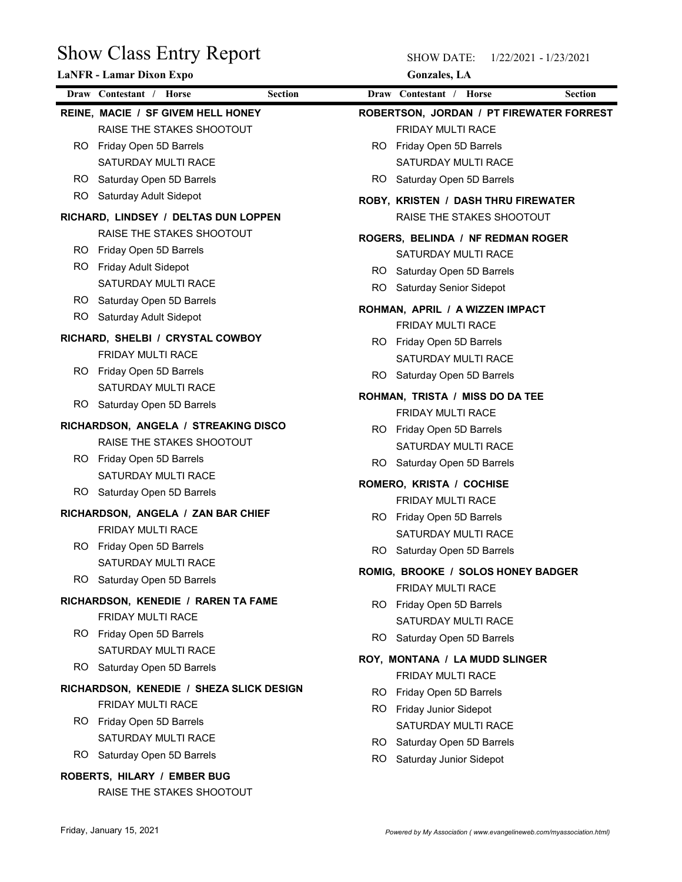| <b>Show Class Entry Report</b><br>LaNFR - Lamar Dixon Expo |                                                          | <b>SHOW DATE:</b><br>1/22/2021 - 1/23/2021<br><b>Gonzales</b> , LA |  |
|------------------------------------------------------------|----------------------------------------------------------|--------------------------------------------------------------------|--|
|                                                            | Draw Contestant / Horse<br><b>Section</b>                | Draw Contestant / Horse<br><b>Section</b>                          |  |
|                                                            | REINE, MACIE / SF GIVEM HELL HONEY                       | ROBERTSON, JORDAN / PT FIREWATER FORREST                           |  |
|                                                            | RAISE THE STAKES SHOOTOUT                                | FRIDAY MULTI RACE                                                  |  |
| RO.                                                        | Friday Open 5D Barrels                                   | RO Friday Open 5D Barrels                                          |  |
|                                                            | SATURDAY MULTI RACE                                      | SATURDAY MULTI RACE                                                |  |
| RO.                                                        | Saturday Open 5D Barrels                                 | RO<br>Saturday Open 5D Barrels                                     |  |
| RO.                                                        | Saturday Adult Sidepot                                   | ROBY, KRISTEN / DASH THRU FIREWATER                                |  |
|                                                            | RICHARD, LINDSEY / DELTAS DUN LOPPEN                     | RAISE THE STAKES SHOOTOUT                                          |  |
|                                                            | RAISE THE STAKES SHOOTOUT                                | ROGERS, BELINDA / NF REDMAN ROGER                                  |  |
| RO.                                                        | Friday Open 5D Barrels                                   | SATURDAY MULTI RACE                                                |  |
| RO.                                                        | Friday Adult Sidepot                                     | RO.<br>Saturday Open 5D Barrels                                    |  |
|                                                            | SATURDAY MULTI RACE                                      | RO<br>Saturday Senior Sidepot                                      |  |
|                                                            | RO Saturday Open 5D Barrels                              | ROHMAN, APRIL / A WIZZEN IMPACT                                    |  |
|                                                            | RO Saturday Adult Sidepot                                | FRIDAY MULTI RACE                                                  |  |
|                                                            | RICHARD, SHELBI / CRYSTAL COWBOY                         | RO Friday Open 5D Barrels                                          |  |
|                                                            | FRIDAY MULTI RACE                                        | SATURDAY MULTI RACE                                                |  |
|                                                            | RO Friday Open 5D Barrels                                | RO Saturday Open 5D Barrels                                        |  |
|                                                            | SATURDAY MULTI RACE                                      | ROHMAN, TRISTA / MISS DO DA TEE                                    |  |
|                                                            | RO Saturday Open 5D Barrels                              | FRIDAY MULTI RACE                                                  |  |
|                                                            | RICHARDSON, ANGELA / STREAKING DISCO                     | RO Friday Open 5D Barrels                                          |  |
|                                                            | RAISE THE STAKES SHOOTOUT                                | SATURDAY MULTI RACE                                                |  |
|                                                            | RO Friday Open 5D Barrels                                | RO Saturday Open 5D Barrels                                        |  |
|                                                            | SATURDAY MULTI RACE                                      | ROMERO, KRISTA / COCHISE                                           |  |
|                                                            | RO Saturday Open 5D Barrels                              | FRIDAY MULTI RACE                                                  |  |
|                                                            | RICHARDSON, ANGELA / ZAN BAR CHIEF                       | RO Friday Open 5D Barrels                                          |  |
|                                                            | FRIDAY MULTI RACE                                        | SATURDAY MULTI RACE                                                |  |
|                                                            | RO Friday Open 5D Barrels                                | RO Saturday Open 5D Barrels                                        |  |
|                                                            | SATURDAY MULTI RACE                                      | ROMIG, BROOKE / SOLOS HONEY BADGER                                 |  |
|                                                            | RO Saturday Open 5D Barrels                              | FRIDAY MULTI RACE                                                  |  |
|                                                            | RICHARDSON, KENEDIE / RAREN TA FAME                      | RO Friday Open 5D Barrels                                          |  |
|                                                            | FRIDAY MULTI RACE                                        | SATURDAY MULTI RACE                                                |  |
|                                                            | RO Friday Open 5D Barrels                                | RO Saturday Open 5D Barrels                                        |  |
|                                                            | SATURDAY MULTI RACE                                      | ROY, MONTANA / LA MUDD SLINGER                                     |  |
|                                                            | RO Saturday Open 5D Barrels                              | FRIDAY MULTI RACE                                                  |  |
|                                                            | RICHARDSON, KENEDIE / SHEZA SLICK DESIGN                 | RO Friday Open 5D Barrels                                          |  |
|                                                            | FRIDAY MULTI RACE                                        | RO Friday Junior Sidepot                                           |  |
|                                                            | RO Friday Open 5D Barrels                                | SATURDAY MULTI RACE                                                |  |
|                                                            | SATURDAY MULTI RACE                                      | RO Saturday Open 5D Barrels                                        |  |
|                                                            | RO Saturday Open 5D Barrels                              | RO.<br>Saturday Junior Sidepot                                     |  |
|                                                            | ROBERTS, HILARY / EMBER BUG<br>RAISE THE STAKES SHOOTOUT |                                                                    |  |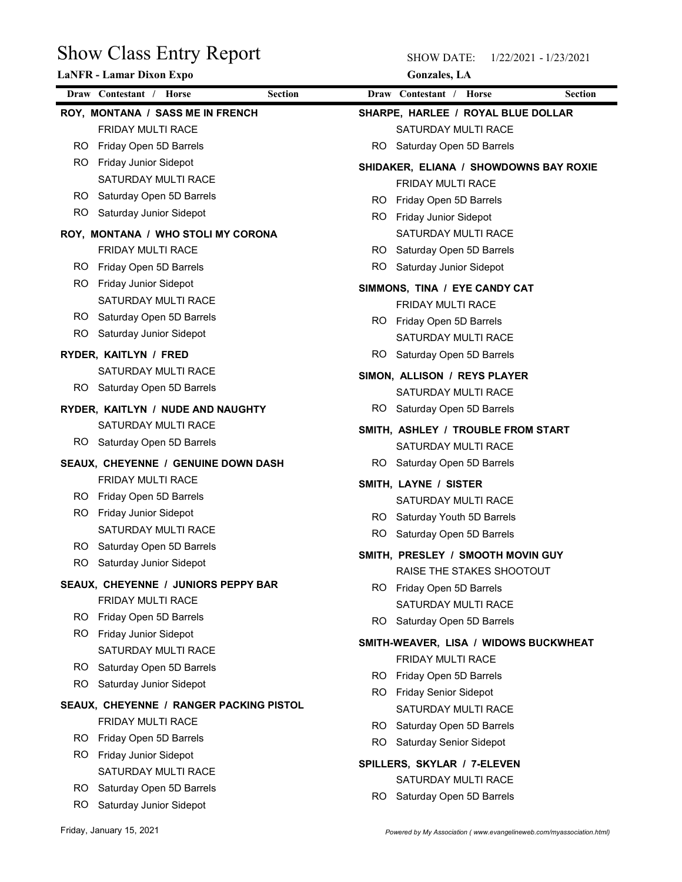| <b>Show Class Entry Report</b>                          | <b>SHOW DATE:</b><br>1/22/2021 - 1/23/2021                 |                |
|---------------------------------------------------------|------------------------------------------------------------|----------------|
| LaNFR - Lamar Dixon Expo                                | <b>Gonzales</b> , LA                                       |                |
| Draw Contestant / Horse<br><b>Section</b>               | Draw Contestant / Horse                                    | <b>Section</b> |
| ROY, MONTANA / SASS ME IN FRENCH                        | SHARPE, HARLEE / ROYAL BLUE DOLLAR                         |                |
| FRIDAY MULTI RACE                                       | SATURDAY MULTI RACE                                        |                |
| Friday Open 5D Barrels<br>RO                            | RO Saturday Open 5D Barrels                                |                |
| Friday Junior Sidepot<br>RO.<br>SATURDAY MULTI RACE     | SHIDAKER, ELIANA / SHOWDOWNS BAY ROXIE                     |                |
| Saturday Open 5D Barrels<br>RO.                         | FRIDAY MULTI RACE                                          |                |
| Saturday Junior Sidepot<br>RO                           | Friday Open 5D Barrels<br>RO.                              |                |
|                                                         | Friday Junior Sidepot<br>RO.                               |                |
| ROY, MONTANA / WHO STOLI MY CORONA<br>FRIDAY MULTI RACE | SATURDAY MULTI RACE<br>RO.<br>Saturday Open 5D Barrels     |                |
| Friday Open 5D Barrels<br>RO                            | RO.<br>Saturday Junior Sidepot                             |                |
| RO.<br>Friday Junior Sidepot                            |                                                            |                |
| SATURDAY MULTI RACE                                     | SIMMONS, TINA / EYE CANDY CAT<br>FRIDAY MULTI RACE         |                |
| Saturday Open 5D Barrels<br>RO.                         | RO Friday Open 5D Barrels                                  |                |
| RO<br>Saturday Junior Sidepot                           | SATURDAY MULTI RACE                                        |                |
| RYDER, KAITLYN / FRED                                   | Saturday Open 5D Barrels<br>RO.                            |                |
| SATURDAY MULTI RACE                                     |                                                            |                |
| Saturday Open 5D Barrels<br>RO.                         | SIMON, ALLISON / REYS PLAYER<br>SATURDAY MULTI RACE        |                |
| RYDER, KAITLYN / NUDE AND NAUGHTY                       | RO Saturday Open 5D Barrels                                |                |
| SATURDAY MULTI RACE                                     |                                                            |                |
| Saturday Open 5D Barrels<br>RO.                         | SMITH, ASHLEY / TROUBLE FROM START<br>SATURDAY MULTI RACE  |                |
| SEAUX, CHEYENNE / GENUINE DOWN DASH                     | RO Saturday Open 5D Barrels                                |                |
| FRIDAY MULTI RACE                                       |                                                            |                |
| Friday Open 5D Barrels<br>RO.                           | SMITH, LAYNE / SISTER                                      |                |
| RO.<br>Friday Junior Sidepot                            | SATURDAY MULTI RACE<br>RO Saturday Youth 5D Barrels        |                |
| SATURDAY MULTI RACE                                     | RO<br>Saturday Open 5D Barrels                             |                |
| RO.<br>Saturday Open 5D Barrels                         |                                                            |                |
| RO.<br>Saturday Junior Sidepot                          | SMITH, PRESLEY / SMOOTH MOVIN GUY                          |                |
| SEAUX, CHEYENNE / JUNIORS PEPPY BAR                     | RAISE THE STAKES SHOOTOUT<br>RO Friday Open 5D Barrels     |                |
| FRIDAY MULTI RACE                                       | SATURDAY MULTI RACE                                        |                |
| Friday Open 5D Barrels<br>RO.                           | RO.<br>Saturday Open 5D Barrels                            |                |
| RO.<br><b>Friday Junior Sidepot</b>                     |                                                            |                |
| SATURDAY MULTI RACE                                     | SMITH-WEAVER, LISA / WIDOWS BUCKWHEAT<br>FRIDAY MULTI RACE |                |
| RO.<br>Saturday Open 5D Barrels                         | RO Friday Open 5D Barrels                                  |                |
| RO.<br>Saturday Junior Sidepot                          | RO Friday Senior Sidepot                                   |                |
| SEAUX, CHEYENNE / RANGER PACKING PISTOL                 | SATURDAY MULTI RACE                                        |                |
| FRIDAY MULTI RACE                                       | Saturday Open 5D Barrels<br>RO.                            |                |
| Friday Open 5D Barrels<br>RO.                           | RO.<br>Saturday Senior Sidepot                             |                |
| Friday Junior Sidepot<br>RO.                            | SPILLERS, SKYLAR / 7-ELEVEN                                |                |
| SATURDAY MULTI RACE                                     | SATURDAY MULTI RACE                                        |                |
| RO.<br>Saturday Open 5D Barrels                         | RO Saturday Open 5D Barrels                                |                |
| RO Saturday Junior Sidepot                              |                                                            |                |
|                                                         |                                                            |                |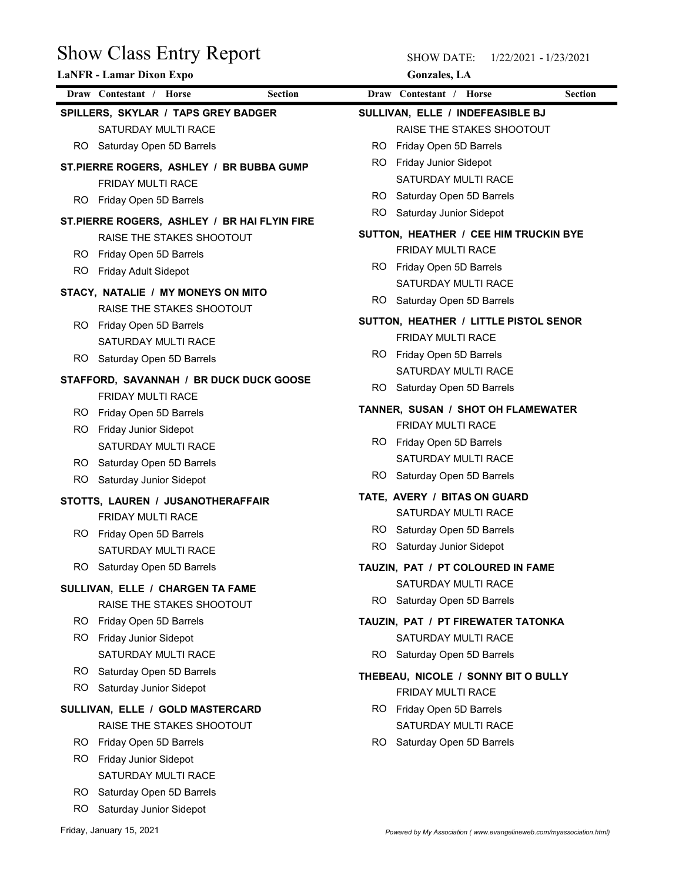| <b>Show Class Entry Report</b>                                  | <b>SHOW DATE:</b><br>1/22/2021 - 1/23/2021                    |                |
|-----------------------------------------------------------------|---------------------------------------------------------------|----------------|
| <b>LaNFR</b> - Lamar Dixon Expo                                 | <b>Gonzales</b> , LA                                          |                |
| Draw Contestant / Horse<br><b>Section</b>                       | Draw Contestant / Horse                                       | <b>Section</b> |
| SPILLERS, SKYLAR / TAPS GREY BADGER<br>SATURDAY MULTI RACE      | SULLIVAN, ELLE / INDEFEASIBLE BJ<br>RAISE THE STAKES SHOOTOUT |                |
| Saturday Open 5D Barrels<br>RO.                                 | Friday Open 5D Barrels<br>RO.                                 |                |
| ST.PIERRE ROGERS, ASHLEY / BR BUBBA GUMP                        | Friday Junior Sidepot<br>RO.                                  |                |
| FRIDAY MULTI RACE                                               | SATURDAY MULTI RACE                                           |                |
| Friday Open 5D Barrels<br>RO.                                   | Saturday Open 5D Barrels<br>RO.                               |                |
| ST.PIERRE ROGERS, ASHLEY / BR HAI FLYIN FIRE                    | Saturday Junior Sidepot<br>RO.                                |                |
| RAISE THE STAKES SHOOTOUT                                       | SUTTON, HEATHER / CEE HIM TRUCKIN BYE                         |                |
| Friday Open 5D Barrels<br>RO.                                   | FRIDAY MULTI RACE                                             |                |
| Friday Adult Sidepot<br>RO.                                     | RO Friday Open 5D Barrels                                     |                |
| STACY, NATALIE / MY MONEYS ON MITO<br>RAISE THE STAKES SHOOTOUT | SATURDAY MULTI RACE<br>RO<br>Saturday Open 5D Barrels         |                |
| RO Friday Open 5D Barrels                                       | SUTTON, HEATHER / LITTLE PISTOL SENOR                         |                |
| <b>SATURDAY MULTI RACE</b>                                      | FRIDAY MULTI RACE                                             |                |
| Saturday Open 5D Barrels<br>RO.                                 | RO Friday Open 5D Barrels                                     |                |
| STAFFORD, SAVANNAH / BR DUCK DUCK GOOSE                         | SATURDAY MULTI RACE                                           |                |
| FRIDAY MULTI RACE                                               | RO.<br>Saturday Open 5D Barrels                               |                |
| Friday Open 5D Barrels<br>RO.                                   | TANNER, SUSAN / SHOT OH FLAMEWATER                            |                |
| Friday Junior Sidepot<br>RO.                                    | FRIDAY MULTI RACE                                             |                |
| SATURDAY MULTI RACE                                             | RO Friday Open 5D Barrels<br>SATURDAY MULTI RACE              |                |
| Saturday Open 5D Barrels<br>RO.                                 | RO Saturday Open 5D Barrels                                   |                |
| Saturday Junior Sidepot<br>RO.                                  | TATE, AVERY / BITAS ON GUARD                                  |                |
| STOTTS, LAUREN / JUSANOTHERAFFAIR<br>FRIDAY MULTI RACE          | SATURDAY MULTI RACE                                           |                |
| Friday Open 5D Barrels<br>RO.                                   | RO Saturday Open 5D Barrels                                   |                |
| SATURDAY MULTI RACE                                             | RO.<br>Saturday Junior Sidepot                                |                |
| Saturday Open 5D Barrels<br>RO.                                 | TAUZIN, PAT / PT COLOURED IN FAME                             |                |
| SULLIVAN, ELLE / CHARGEN TA FAME                                | SATURDAY MULTI RACE                                           |                |
| RAISE THE STAKES SHOOTOUT                                       | RO Saturday Open 5D Barrels                                   |                |
| Friday Open 5D Barrels<br>RO.                                   | TAUZIN, PAT / PT FIREWATER TATONKA                            |                |
| RO.<br>Friday Junior Sidepot                                    | SATURDAY MULTI RACE                                           |                |
| SATURDAY MULTI RACE                                             | RO.<br>Saturday Open 5D Barrels                               |                |
| Saturday Open 5D Barrels<br>RO.                                 | THEBEAU, NICOLE / SONNY BIT O BULLY                           |                |
| RO.<br>Saturday Junior Sidepot                                  | FRIDAY MULTI RACE                                             |                |
| SULLIVAN, ELLE / GOLD MASTERCARD                                | RO Friday Open 5D Barrels                                     |                |
| RAISE THE STAKES SHOOTOUT                                       | SATURDAY MULTI RACE                                           |                |
| Friday Open 5D Barrels<br>RO.                                   | RO.<br>Saturday Open 5D Barrels                               |                |
| RO.<br>Friday Junior Sidepot<br>SATURDAY MULTI RACE             |                                                               |                |
| RO Saturday Open 5D Barrels                                     |                                                               |                |
| RO Saturday Junior Sidepot                                      |                                                               |                |
|                                                                 |                                                               |                |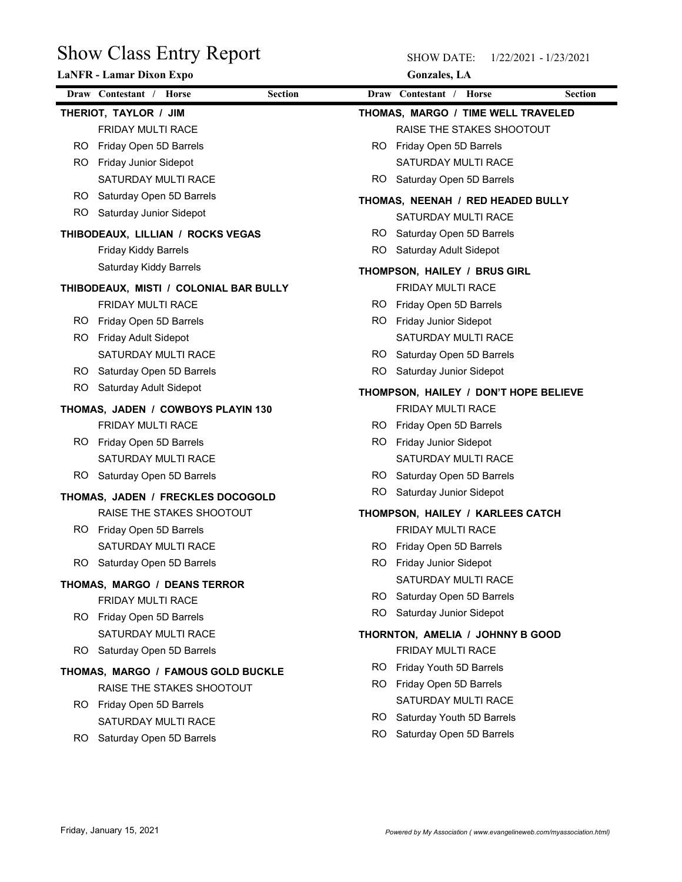|           | <b>Show Class Entry Report</b><br><b>LaNFR</b> - Lamar Dixon Expo |     | <b>SHOW DATE:</b><br>1/22/2021 - 1/23/2021<br><b>Gonzales</b> , LA |                |  |
|-----------|-------------------------------------------------------------------|-----|--------------------------------------------------------------------|----------------|--|
|           | Draw Contestant / Horse<br><b>Section</b>                         |     | Draw Contestant / Horse                                            | <b>Section</b> |  |
|           | THERIOT, TAYLOR / JIM                                             |     | THOMAS, MARGO / TIME WELL TRAVELED                                 |                |  |
|           | FRIDAY MULTI RACE                                                 |     | RAISE THE STAKES SHOOTOUT                                          |                |  |
| RO.       | Friday Open 5D Barrels                                            |     | RO Friday Open 5D Barrels                                          |                |  |
| RO.       | <b>Friday Junior Sidepot</b>                                      |     | SATURDAY MULTI RACE                                                |                |  |
|           | SATURDAY MULTI RACE                                               | RO. | Saturday Open 5D Barrels                                           |                |  |
| RO.       | Saturday Open 5D Barrels                                          |     |                                                                    |                |  |
| RO.       | Saturday Junior Sidepot                                           |     | THOMAS, NEENAH / RED HEADED BULLY<br>SATURDAY MULTI RACE           |                |  |
|           | THIBODEAUX, LILLIAN / ROCKS VEGAS                                 | RO. | Saturday Open 5D Barrels                                           |                |  |
|           | <b>Friday Kiddy Barrels</b>                                       | RO. | Saturday Adult Sidepot                                             |                |  |
|           | Saturday Kiddy Barrels                                            |     |                                                                    |                |  |
|           |                                                                   |     | THOMPSON, HAILEY / BRUS GIRL                                       |                |  |
|           | THIBODEAUX, MISTI / COLONIAL BAR BULLY                            |     | FRIDAY MULTI RACE                                                  |                |  |
|           | FRIDAY MULTI RACE                                                 |     | RO Friday Open 5D Barrels                                          |                |  |
| RO.       | Friday Open 5D Barrels                                            |     | RO Friday Junior Sidepot                                           |                |  |
| RO.       | Friday Adult Sidepot                                              |     | SATURDAY MULTI RACE                                                |                |  |
|           | SATURDAY MULTI RACE                                               | RO. | Saturday Open 5D Barrels                                           |                |  |
| RO.       | Saturday Open 5D Barrels                                          | RO. | Saturday Junior Sidepot                                            |                |  |
| <b>RO</b> | Saturday Adult Sidepot                                            |     | THOMPSON, HAILEY / DON'T HOPE BELIEVE                              |                |  |
|           | THOMAS, JADEN / COWBOYS PLAYIN 130                                |     | FRIDAY MULTI RACE                                                  |                |  |
|           | FRIDAY MULTI RACE                                                 |     | RO Friday Open 5D Barrels                                          |                |  |
|           | RO Friday Open 5D Barrels                                         |     | RO Friday Junior Sidepot                                           |                |  |
|           | SATURDAY MULTI RACE                                               |     | SATURDAY MULTI RACE                                                |                |  |
|           | RO Saturday Open 5D Barrels                                       |     | RO Saturday Open 5D Barrels                                        |                |  |
|           | THOMAS, JADEN / FRECKLES DOCOGOLD                                 | RO. | Saturday Junior Sidepot                                            |                |  |
|           | RAISE THE STAKES SHOOTOUT                                         |     | THOMPSON, HAILEY / KARLEES CATCH                                   |                |  |
|           | RO Friday Open 5D Barrels                                         |     | FRIDAY MULTI RACE                                                  |                |  |
|           | SATURDAY MULTI RACE                                               | RO. | Friday Open 5D Barrels                                             |                |  |
|           | RO Saturday Open 5D Barrels                                       |     | RO Friday Junior Sidepot                                           |                |  |
|           | THOMAS, MARGO / DEANS TERROR                                      |     | SATURDAY MULTI RACE                                                |                |  |
|           | FRIDAY MULTI RACE                                                 |     | RO Saturday Open 5D Barrels                                        |                |  |
|           | RO Friday Open 5D Barrels                                         | RO. | Saturday Junior Sidepot                                            |                |  |
|           | SATURDAY MULTI RACE                                               |     | THORNTON, AMELIA / JOHNNY B GOOD                                   |                |  |
| RO.       | Saturday Open 5D Barrels                                          |     | FRIDAY MULTI RACE                                                  |                |  |
|           |                                                                   | RO. | Friday Youth 5D Barrels                                            |                |  |
|           | THOMAS, MARGO / FAMOUS GOLD BUCKLE<br>RAISE THE STAKES SHOOTOUT   |     | RO Friday Open 5D Barrels                                          |                |  |
|           | RO Friday Open 5D Barrels                                         |     | SATURDAY MULTI RACE                                                |                |  |
|           | SATURDAY MULTI RACE                                               |     | RO Saturday Youth 5D Barrels                                       |                |  |
|           | Saturday Open 5D Barrels<br>RO.                                   | RO. | Saturday Open 5D Barrels                                           |                |  |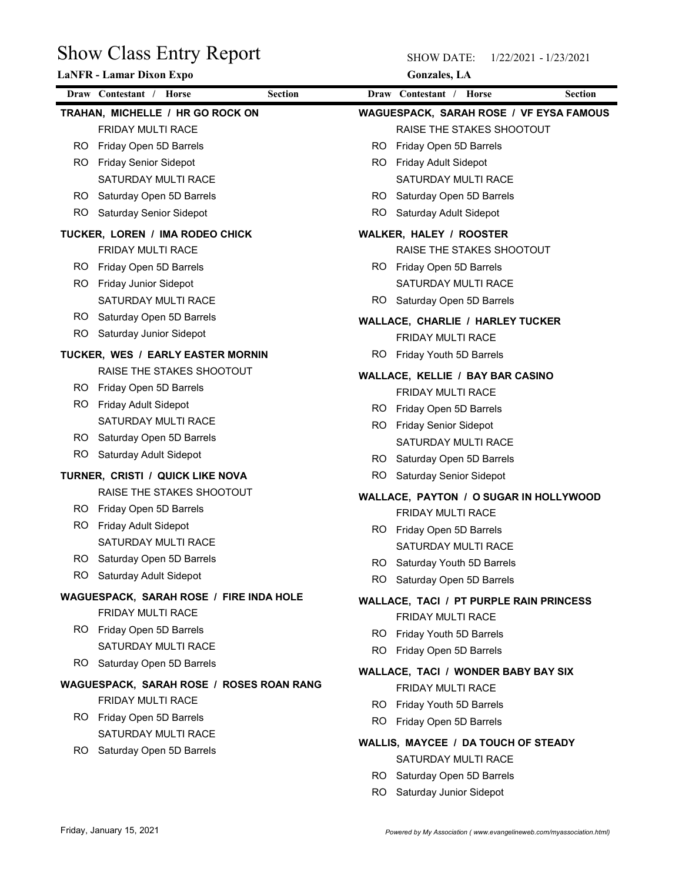| <b>Show Class Entry Report</b>                        | <b>SHOW DATE:</b><br>1/22/2021 - 1/23/2021                                  |
|-------------------------------------------------------|-----------------------------------------------------------------------------|
| LaNFR - Lamar Dixon Expo                              | <b>Gonzales</b> , LA                                                        |
| Draw Contestant / Horse<br><b>Section</b>             | Draw Contestant / Horse<br><b>Section</b>                                   |
| TRAHAN, MICHELLE / HR GO ROCK ON<br>FRIDAY MULTI RACE | <b>WAGUESPACK, SARAH ROSE / VF EYSA FAMOUS</b><br>RAISE THE STAKES SHOOTOUT |
| Friday Open 5D Barrels<br>RO.                         | RO<br>Friday Open 5D Barrels                                                |
| <b>Friday Senior Sidepot</b><br>RO.                   | Friday Adult Sidepot<br>RO.                                                 |
| SATURDAY MULTI RACE                                   | SATURDAY MULTI RACE                                                         |
| Saturday Open 5D Barrels<br>RO.                       | Saturday Open 5D Barrels<br>RO.                                             |
| Saturday Senior Sidepot<br>RO.                        | RO<br>Saturday Adult Sidepot                                                |
| TUCKER, LOREN / IMA RODEO CHICK                       | <b>WALKER, HALEY / ROOSTER</b>                                              |
| FRIDAY MULTI RACE                                     | RAISE THE STAKES SHOOTOUT                                                   |
| RO.<br>Friday Open 5D Barrels                         | RO Friday Open 5D Barrels                                                   |
| Friday Junior Sidepot<br>RO.                          | SATURDAY MULTI RACE                                                         |
| SATURDAY MULTI RACE                                   | RO.<br>Saturday Open 5D Barrels                                             |
| RO Saturday Open 5D Barrels                           | <b>WALLACE, CHARLIE / HARLEY TUCKER</b>                                     |
| RO.<br>Saturday Junior Sidepot                        | FRIDAY MULTI RACE                                                           |
| TUCKER, WES / EARLY EASTER MORNIN                     | RO Friday Youth 5D Barrels                                                  |
| RAISE THE STAKES SHOOTOUT                             | WALLACE, KELLIE / BAY BAR CASINO                                            |
| RO Friday Open 5D Barrels                             | FRIDAY MULTI RACE                                                           |
| RO Friday Adult Sidepot                               | RO Friday Open 5D Barrels                                                   |
| SATURDAY MULTI RACE                                   | RO Friday Senior Sidepot                                                    |
| RO Saturday Open 5D Barrels                           | SATURDAY MULTI RACE                                                         |
| Saturday Adult Sidepot<br>RO.                         | RO Saturday Open 5D Barrels                                                 |
| TURNER, CRISTI / QUICK LIKE NOVA                      | RO Saturday Senior Sidepot                                                  |
| RAISE THE STAKES SHOOTOUT                             | WALLACE, PAYTON / O SUGAR IN HOLLYWOOD                                      |
| RO Friday Open 5D Barrels                             | FRIDAY MULTI RACE                                                           |
| RO Friday Adult Sidepot                               | RO Friday Open 5D Barrels                                                   |
| SATURDAY MULTI RACE                                   | SATURDAY MULTI RACE                                                         |
| RO Saturday Open 5D Barrels                           | RO Saturday Youth 5D Barrels                                                |
| RO.<br>Saturday Adult Sidepot                         | RO Saturday Open 5D Barrels                                                 |
| WAGUESPACK, SARAH ROSE / FIRE INDA HOLE               | <b>WALLACE, TACI / PT PURPLE RAIN PRINCESS</b>                              |
| FRIDAY MULTI RACE                                     | FRIDAY MULTI RACE                                                           |
| RO Friday Open 5D Barrels                             | RO Friday Youth 5D Barrels                                                  |
| SATURDAY MULTI RACE                                   | Friday Open 5D Barrels<br>RO.                                               |
| RO Saturday Open 5D Barrels                           | <b>WALLACE, TACI / WONDER BABY BAY SIX</b>                                  |
| WAGUESPACK, SARAH ROSE / ROSES ROAN RANG              | FRIDAY MULTI RACE                                                           |
| FRIDAY MULTI RACE                                     | RO Friday Youth 5D Barrels                                                  |
| RO Friday Open 5D Barrels                             | <b>RO</b><br>Friday Open 5D Barrels                                         |
| SATURDAY MULTI RACE                                   | WALLIS, MAYCEE / DA TOUCH OF STEADY                                         |
| RO Saturday Open 5D Barrels                           | SATURDAY MULTI RACE                                                         |
|                                                       | RO Saturday Open 5D Barrels                                                 |
|                                                       | RO Saturday Junior Sidepot                                                  |